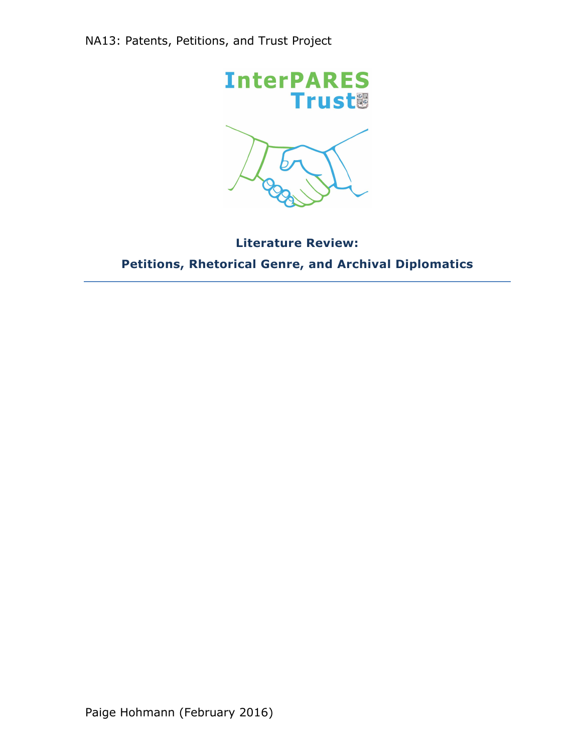

# **Literature Review: Petitions, Rhetorical Genre, and Archival Diplomatics**

Paige Hohmann (February 2016)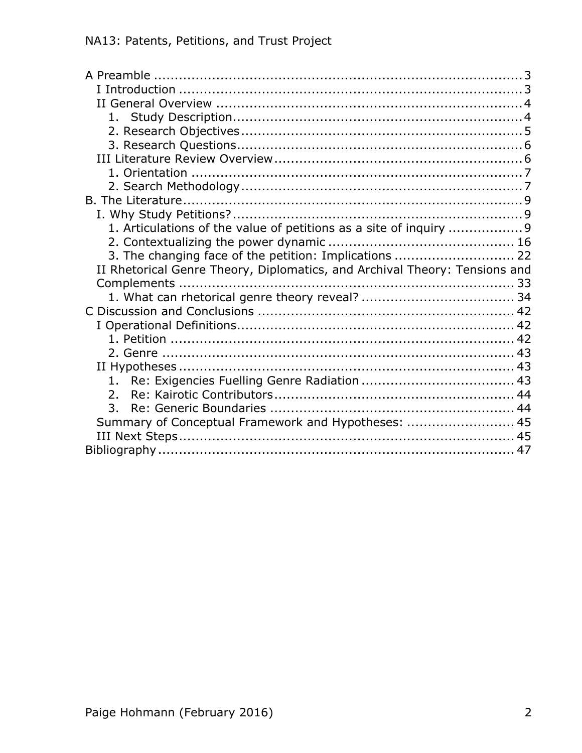| 1. Articulations of the value of petitions as a site of inquiry 9          |  |
|----------------------------------------------------------------------------|--|
|                                                                            |  |
| 3. The changing face of the petition: Implications  22                     |  |
|                                                                            |  |
| II Rhetorical Genre Theory, Diplomatics, and Archival Theory: Tensions and |  |
|                                                                            |  |
|                                                                            |  |
|                                                                            |  |
|                                                                            |  |
|                                                                            |  |
|                                                                            |  |
|                                                                            |  |
|                                                                            |  |
| $\mathcal{P}_{\mathcal{P}}$                                                |  |
| 3.                                                                         |  |
| Summary of Conceptual Framework and Hypotheses:  45                        |  |
|                                                                            |  |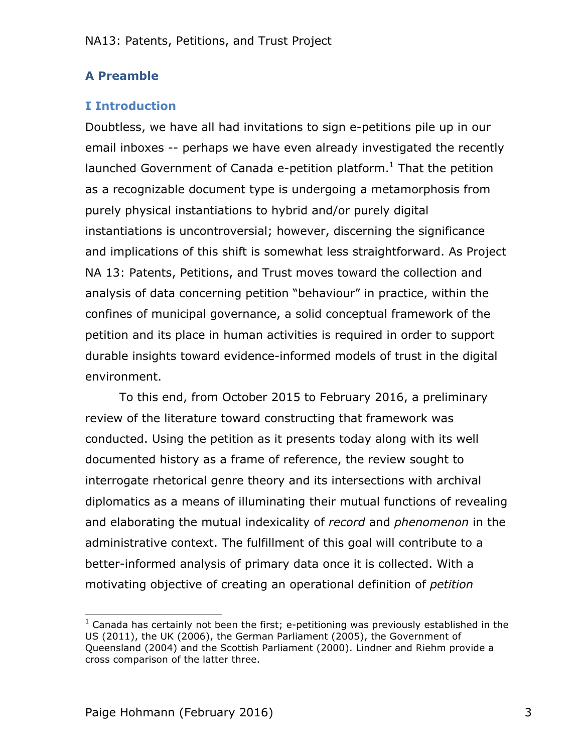# **A Preamble**

# **I Introduction**

Doubtless, we have all had invitations to sign e-petitions pile up in our email inboxes -- perhaps we have even already investigated the recently launched Government of Canada e-petition platform. $<sup>1</sup>$  That the petition</sup> as a recognizable document type is undergoing a metamorphosis from purely physical instantiations to hybrid and/or purely digital instantiations is uncontroversial; however, discerning the significance and implications of this shift is somewhat less straightforward. As Project NA 13: Patents, Petitions, and Trust moves toward the collection and analysis of data concerning petition "behaviour" in practice, within the confines of municipal governance, a solid conceptual framework of the petition and its place in human activities is required in order to support durable insights toward evidence-informed models of trust in the digital environment.

To this end, from October 2015 to February 2016, a preliminary review of the literature toward constructing that framework was conducted. Using the petition as it presents today along with its well documented history as a frame of reference, the review sought to interrogate rhetorical genre theory and its intersections with archival diplomatics as a means of illuminating their mutual functions of revealing and elaborating the mutual indexicality of *record* and *phenomenon* in the administrative context. The fulfillment of this goal will contribute to a better-informed analysis of primary data once it is collected. With a motivating objective of creating an operational definition of *petition*

 $1$  Canada has certainly not been the first; e-petitioning was previously established in the US (2011), the UK (2006), the German Parliament (2005), the Government of Queensland (2004) and the Scottish Parliament (2000). Lindner and Riehm provide a cross comparison of the latter three.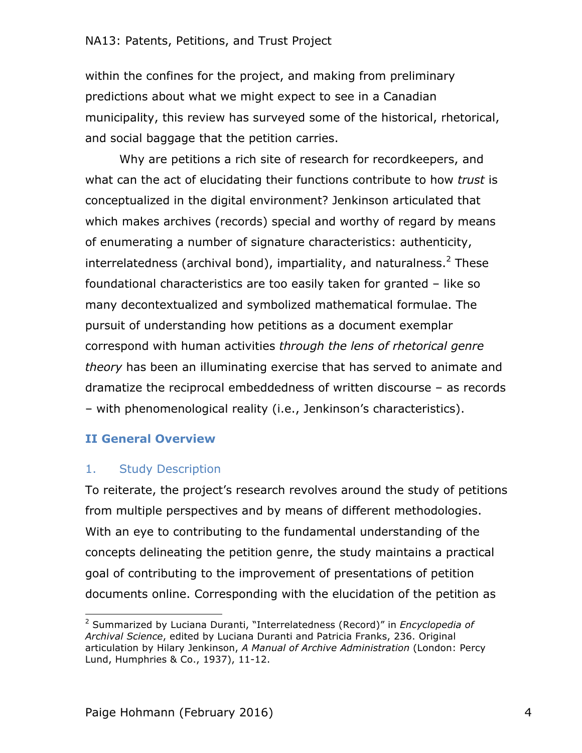within the confines for the project, and making from preliminary predictions about what we might expect to see in a Canadian municipality, this review has surveyed some of the historical, rhetorical, and social baggage that the petition carries.

Why are petitions a rich site of research for recordkeepers, and what can the act of elucidating their functions contribute to how *trust* is conceptualized in the digital environment? Jenkinson articulated that which makes archives (records) special and worthy of regard by means of enumerating a number of signature characteristics: authenticity, interrelatedness (archival bond), impartiality, and naturalness.<sup>2</sup> These foundational characteristics are too easily taken for granted – like so many decontextualized and symbolized mathematical formulae. The pursuit of understanding how petitions as a document exemplar correspond with human activities *through the lens of rhetorical genre theory* has been an illuminating exercise that has served to animate and dramatize the reciprocal embeddedness of written discourse – as records – with phenomenological reality (i.e., Jenkinson's characteristics).

## **II General Overview**

## 1. Study Description

 

To reiterate, the project's research revolves around the study of petitions from multiple perspectives and by means of different methodologies. With an eye to contributing to the fundamental understanding of the concepts delineating the petition genre, the study maintains a practical goal of contributing to the improvement of presentations of petition documents online. Corresponding with the elucidation of the petition as

<sup>2</sup> Summarized by Luciana Duranti, "Interrelatedness (Record)" in *Encyclopedia of Archival Science*, edited by Luciana Duranti and Patricia Franks, 236. Original articulation by Hilary Jenkinson, *A Manual of Archive Administration* (London: Percy Lund, Humphries & Co., 1937), 11-12.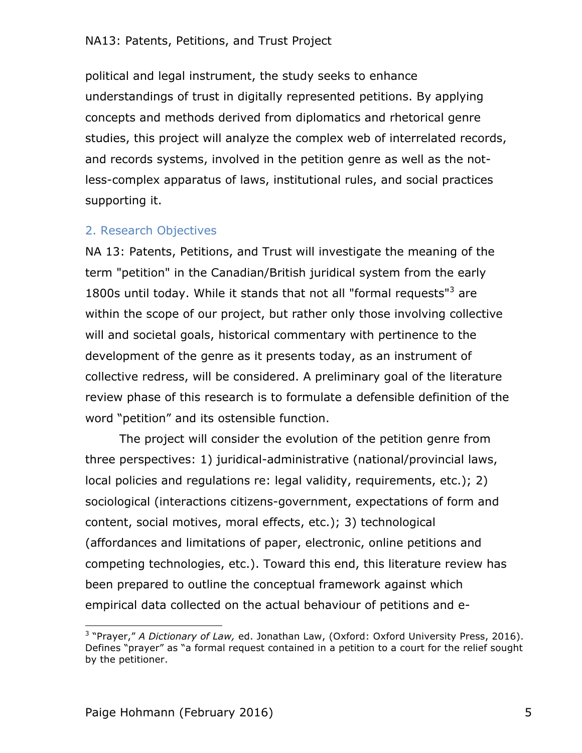political and legal instrument, the study seeks to enhance understandings of trust in digitally represented petitions. By applying concepts and methods derived from diplomatics and rhetorical genre studies, this project will analyze the complex web of interrelated records, and records systems, involved in the petition genre as well as the notless-complex apparatus of laws, institutional rules, and social practices supporting it.

## 2. Research Objectives

NA 13: Patents, Petitions, and Trust will investigate the meaning of the term "petition" in the Canadian/British juridical system from the early 1800s until today. While it stands that not all "formal requests"<sup>3</sup> are within the scope of our project, but rather only those involving collective will and societal goals, historical commentary with pertinence to the development of the genre as it presents today, as an instrument of collective redress, will be considered. A preliminary goal of the literature review phase of this research is to formulate a defensible definition of the word "petition" and its ostensible function.

The project will consider the evolution of the petition genre from three perspectives: 1) juridical-administrative (national/provincial laws, local policies and regulations re: legal validity, requirements, etc.); 2) sociological (interactions citizens-government, expectations of form and content, social motives, moral effects, etc.); 3) technological (affordances and limitations of paper, electronic, online petitions and competing technologies, etc.). Toward this end, this literature review has been prepared to outline the conceptual framework against which empirical data collected on the actual behaviour of petitions and e-

<sup>3</sup> "Prayer," *A Dictionary of Law,* ed. Jonathan Law, (Oxford: Oxford University Press, 2016). Defines "prayer" as "a formal request contained in a petition to a court for the relief sought by the petitioner.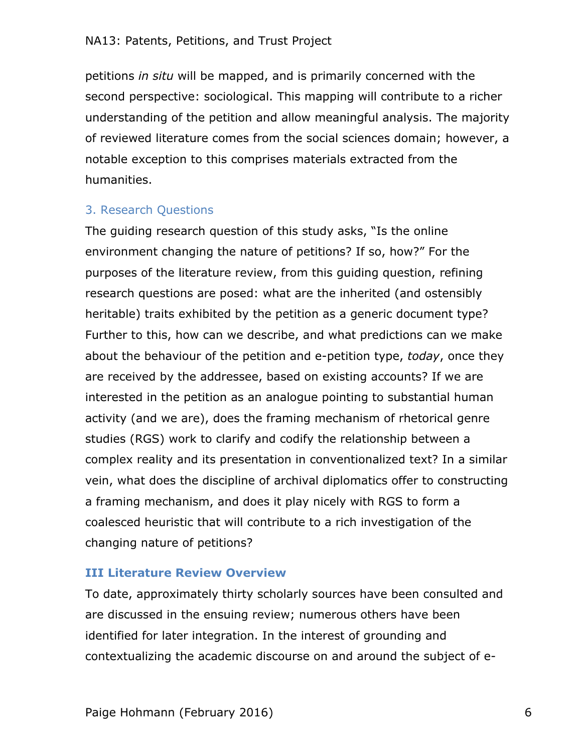petitions *in situ* will be mapped, and is primarily concerned with the second perspective: sociological. This mapping will contribute to a richer understanding of the petition and allow meaningful analysis. The majority of reviewed literature comes from the social sciences domain; however, a notable exception to this comprises materials extracted from the humanities.

# 3. Research Questions

The guiding research question of this study asks, "Is the online environment changing the nature of petitions? If so, how?" For the purposes of the literature review, from this guiding question, refining research questions are posed: what are the inherited (and ostensibly heritable) traits exhibited by the petition as a generic document type? Further to this, how can we describe, and what predictions can we make about the behaviour of the petition and e-petition type, *today*, once they are received by the addressee, based on existing accounts? If we are interested in the petition as an analogue pointing to substantial human activity (and we are), does the framing mechanism of rhetorical genre studies (RGS) work to clarify and codify the relationship between a complex reality and its presentation in conventionalized text? In a similar vein, what does the discipline of archival diplomatics offer to constructing a framing mechanism, and does it play nicely with RGS to form a coalesced heuristic that will contribute to a rich investigation of the changing nature of petitions?

## **III Literature Review Overview**

To date, approximately thirty scholarly sources have been consulted and are discussed in the ensuing review; numerous others have been identified for later integration. In the interest of grounding and contextualizing the academic discourse on and around the subject of e-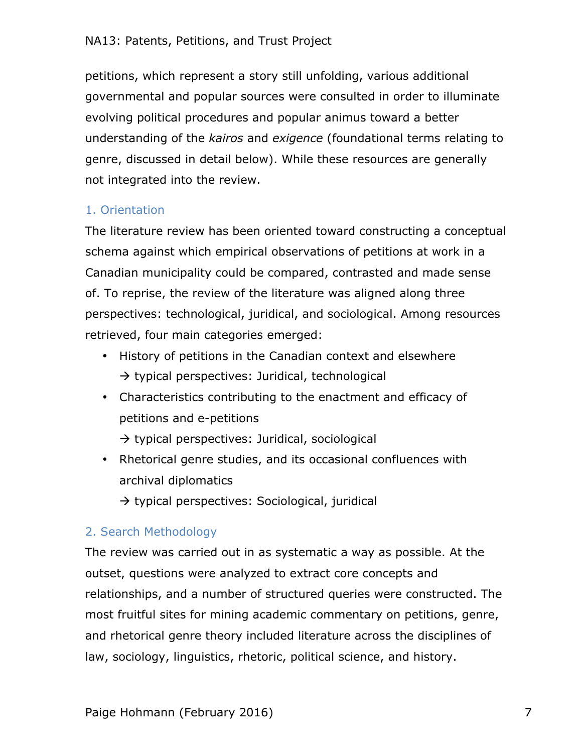petitions, which represent a story still unfolding, various additional governmental and popular sources were consulted in order to illuminate evolving political procedures and popular animus toward a better understanding of the *kairos* and *exigence* (foundational terms relating to genre, discussed in detail below). While these resources are generally not integrated into the review.

## 1. Orientation

The literature review has been oriented toward constructing a conceptual schema against which empirical observations of petitions at work in a Canadian municipality could be compared, contrasted and made sense of. To reprise, the review of the literature was aligned along three perspectives: technological, juridical, and sociological. Among resources retrieved, four main categories emerged:

- History of petitions in the Canadian context and elsewhere  $\rightarrow$  typical perspectives: Juridical, technological
- Characteristics contributing to the enactment and efficacy of petitions and e-petitions

 $\rightarrow$  typical perspectives: Juridical, sociological

• Rhetorical genre studies, and its occasional confluences with archival diplomatics

 $\rightarrow$  typical perspectives: Sociological, juridical

## 2. Search Methodology

The review was carried out in as systematic a way as possible. At the outset, questions were analyzed to extract core concepts and relationships, and a number of structured queries were constructed. The most fruitful sites for mining academic commentary on petitions, genre, and rhetorical genre theory included literature across the disciplines of law, sociology, linguistics, rhetoric, political science, and history.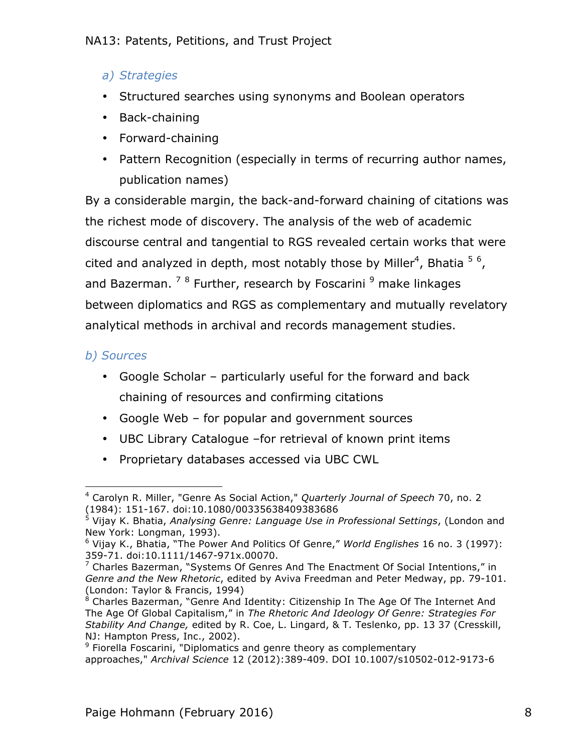# *a) Strategies*

- Structured searches using synonyms and Boolean operators
- Back-chaining
- Forward-chaining
- Pattern Recognition (especially in terms of recurring author names, publication names)

By a considerable margin, the back-and-forward chaining of citations was the richest mode of discovery. The analysis of the web of academic discourse central and tangential to RGS revealed certain works that were cited and analyzed in depth, most notably those by Miller<sup>4</sup>, Bhatia  $5/6$ , and Bazerman.  $78$  Further, research by Foscarini  $9$  make linkages between diplomatics and RGS as complementary and mutually revelatory analytical methods in archival and records management studies.

# *b) Sources*

- Google Scholar particularly useful for the forward and back chaining of resources and confirming citations
- Google Web for popular and government sources
- UBC Library Catalogue –for retrieval of known print items
- Proprietary databases accessed via UBC CWL

 <sup>4</sup> Carolyn R. Miller, "Genre As Social Action," *Quarterly Journal of Speech* 70, no. 2 (1984): 151-167. doi:10.1080/00335638409383686

<sup>5</sup> Vijay K. Bhatia, *Analysing Genre: Language Use in Professional Settings*, (London and New York: Longman, 1993).

<sup>6</sup> Vijay K., Bhatia, "The Power And Politics Of Genre," *World Englishes* 16 no. 3 (1997): 359-71. doi:10.1111/1467-971x.00070.

 $7$  Charles Bazerman, "Systems Of Genres And The Enactment Of Social Intentions," in *Genre and the New Rhetoric*, edited by Aviva Freedman and Peter Medway, pp. 79-101. (London: Taylor & Francis, 1994)

<sup>8</sup> Charles Bazerman, "Genre And Identity: Citizenship In The Age Of The Internet And The Age Of Global Capitalism," in *The Rhetoric And Ideology Of Genre: Strategies For Stability And Change,* edited by R. Coe, L. Lingard, & T. Teslenko, pp. 13 37 (Cresskill, NJ: Hampton Press, Inc., 2002).

<sup>&</sup>lt;sup>9</sup> Fiorella Foscarini, "Diplomatics and genre theory as complementary approaches," *Archival Science* 12 (2012):389-409. DOI 10.1007/s10502-012-9173-6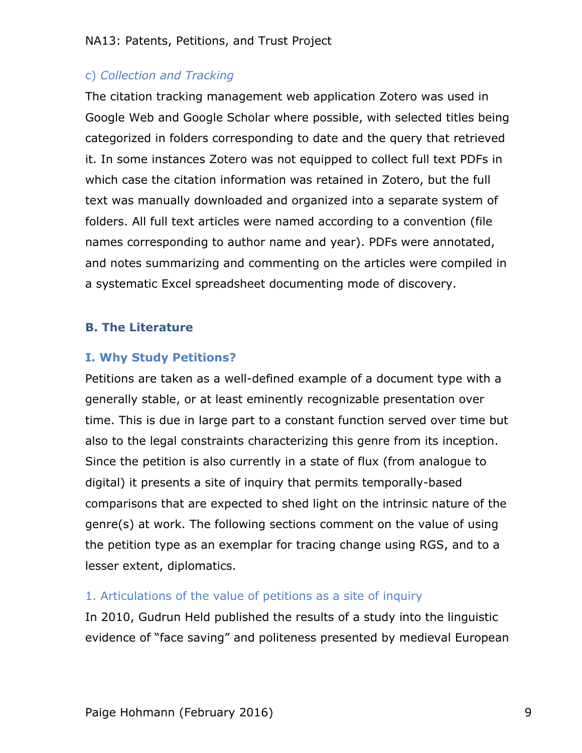# c) *Collection and Tracking*

The citation tracking management web application Zotero was used in Google Web and Google Scholar where possible, with selected titles being categorized in folders corresponding to date and the query that retrieved it. In some instances Zotero was not equipped to collect full text PDFs in which case the citation information was retained in Zotero, but the full text was manually downloaded and organized into a separate system of folders. All full text articles were named according to a convention (file names corresponding to author name and year). PDFs were annotated, and notes summarizing and commenting on the articles were compiled in a systematic Excel spreadsheet documenting mode of discovery.

## **B. The Literature**

## **I. Why Study Petitions?**

Petitions are taken as a well-defined example of a document type with a generally stable, or at least eminently recognizable presentation over time. This is due in large part to a constant function served over time but also to the legal constraints characterizing this genre from its inception. Since the petition is also currently in a state of flux (from analogue to digital) it presents a site of inquiry that permits temporally-based comparisons that are expected to shed light on the intrinsic nature of the genre(s) at work. The following sections comment on the value of using the petition type as an exemplar for tracing change using RGS, and to a lesser extent, diplomatics.

## 1. Articulations of the value of petitions as a site of inquiry

In 2010, Gudrun Held published the results of a study into the linguistic evidence of "face saving" and politeness presented by medieval European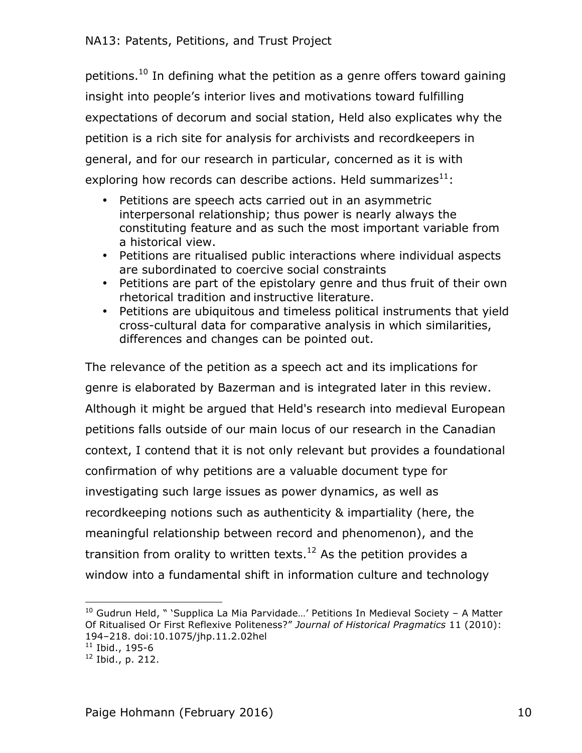petitions.<sup>10</sup> In defining what the petition as a genre offers toward gaining insight into people's interior lives and motivations toward fulfilling expectations of decorum and social station, Held also explicates why the petition is a rich site for analysis for archivists and recordkeepers in general, and for our research in particular, concerned as it is with exploring how records can describe actions. Held summarizes $^{11}$ :

- Petitions are speech acts carried out in an asymmetric interpersonal relationship; thus power is nearly always the constituting feature and as such the most important variable from a historical view.
- Petitions are ritualised public interactions where individual aspects are subordinated to coercive social constraints
- Petitions are part of the epistolary genre and thus fruit of their own rhetorical tradition and instructive literature.
- Petitions are ubiquitous and timeless political instruments that yield cross-cultural data for comparative analysis in which similarities, differences and changes can be pointed out.

The relevance of the petition as a speech act and its implications for genre is elaborated by Bazerman and is integrated later in this review. Although it might be argued that Held's research into medieval European petitions falls outside of our main locus of our research in the Canadian context, I contend that it is not only relevant but provides a foundational confirmation of why petitions are a valuable document type for investigating such large issues as power dynamics, as well as recordkeeping notions such as authenticity & impartiality (here, the meaningful relationship between record and phenomenon), and the transition from orality to written texts.<sup>12</sup> As the petition provides a window into a fundamental shift in information culture and technology

 $10$  Gudrun Held, " 'Supplica La Mia Parvidade...' Petitions In Medieval Society - A Matter Of Ritualised Or First Reflexive Politeness?" *Journal of Historical Pragmatics* 11 (2010): 194–218. doi:10.1075/jhp.11.2.02hel

 $11$  Ibid., 195-6

 $12$  Ibid., p. 212.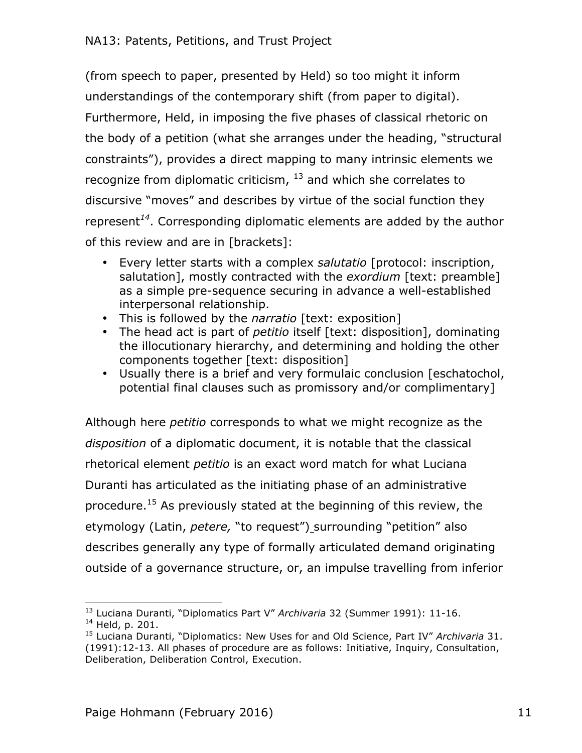(from speech to paper, presented by Held) so too might it inform understandings of the contemporary shift (from paper to digital). Furthermore, Held, in imposing the five phases of classical rhetoric on the body of a petition (what she arranges under the heading, "structural constraints"), provides a direct mapping to many intrinsic elements we recognize from diplomatic criticism,  $^{13}$  and which she correlates to discursive "moves" and describes by virtue of the social function they represent*<sup>14</sup>*. Corresponding diplomatic elements are added by the author of this review and are in [brackets]:

- Every letter starts with a complex *salutatio* [protocol: inscription, salutation], mostly contracted with the *exordium* [text: preamble] as a simple pre-sequence securing in advance a well-established interpersonal relationship.
- This is followed by the *narratio* [text: exposition]
- The head act is part of *petitio* itself [text: disposition], dominating the illocutionary hierarchy, and determining and holding the other components together [text: disposition]
- Usually there is a brief and very formulaic conclusion [eschatochol, potential final clauses such as promissory and/or complimentary]

Although here *petitio* corresponds to what we might recognize as the *disposition* of a diplomatic document, it is notable that the classical rhetorical element *petitio* is an exact word match for what Luciana Duranti has articulated as the initiating phase of an administrative procedure.<sup>15</sup> As previously stated at the beginning of this review, the etymology (Latin, *petere,* "to request") surrounding "petition" also describes generally any type of formally articulated demand originating outside of a governance structure, or, an impulse travelling from inferior

 <sup>13</sup> Luciana Duranti, "Diplomatics Part V" *Archivaria* 32 (Summer 1991): 11-16.

<sup>14</sup> Held, p. 201.

<sup>15</sup> Luciana Duranti, "Diplomatics: New Uses for and Old Science, Part IV" *Archivaria* 31. (1991):12-13. All phases of procedure are as follows: Initiative, Inquiry, Consultation, Deliberation, Deliberation Control, Execution.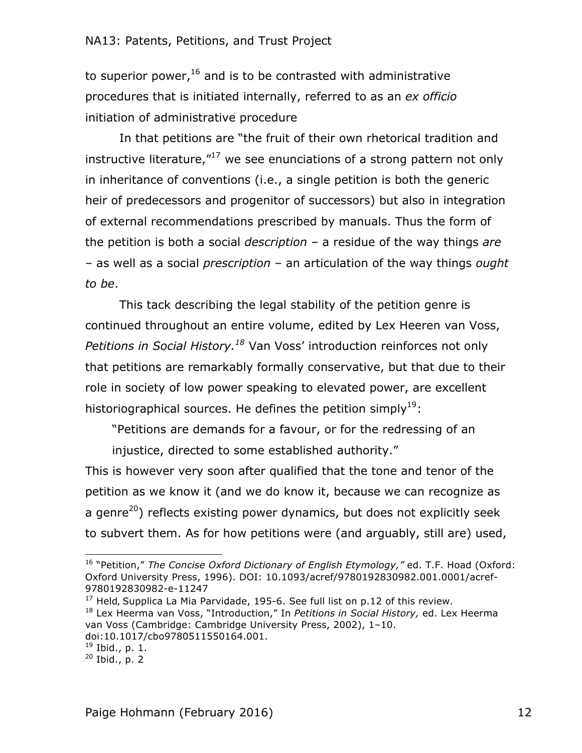to superior power, $16$  and is to be contrasted with administrative procedures that is initiated internally, referred to as an *ex officio* initiation of administrative procedure

In that petitions are "the fruit of their own rhetorical tradition and instructive literature, $17 \text{ we see enunciations of a strong pattern not only}$ in inheritance of conventions (i.e., a single petition is both the generic heir of predecessors and progenitor of successors) but also in integration of external recommendations prescribed by manuals. Thus the form of the petition is both a social *description* – a residue of the way things *are* – as well as a social *prescription* – an articulation of the way things *ought to be*.

This tack describing the legal stability of the petition genre is continued throughout an entire volume, edited by Lex Heeren van Voss, *Petitions in Social History.18* Van Voss' introduction reinforces not only that petitions are remarkably formally conservative, but that due to their role in society of low power speaking to elevated power, are excellent historiographical sources. He defines the petition simply<sup>19</sup>:

"Petitions are demands for a favour, or for the redressing of an

injustice, directed to some established authority."

This is however very soon after qualified that the tone and tenor of the petition as we know it (and we do know it, because we can recognize as a genre<sup>20</sup>) reflects existing power dynamics, but does not explicitly seek to subvert them. As for how petitions were (and arguably, still are) used,

<sup>16</sup> "Petition," *The Concise Oxford Dictionary of English Etymology,"* ed. T.F. Hoad (Oxford: Oxford University Press, 1996). DOI: 10.1093/acref/9780192830982.001.0001/acref-9780192830982-e-11247

 $17$  Held, Supplica La Mia Parvidade, 195-6. See full list on p.12 of this review.

<sup>18</sup> Lex Heerma van Voss, "Introduction," In *Petitions in Social History,* ed. Lex Heerma van Voss (Cambridge: Cambridge University Press, 2002), 1–10. doi:10.1017/cbo9780511550164.001.

<sup>19</sup> Ibid., p. 1.

 $20$  Ibid., p. 2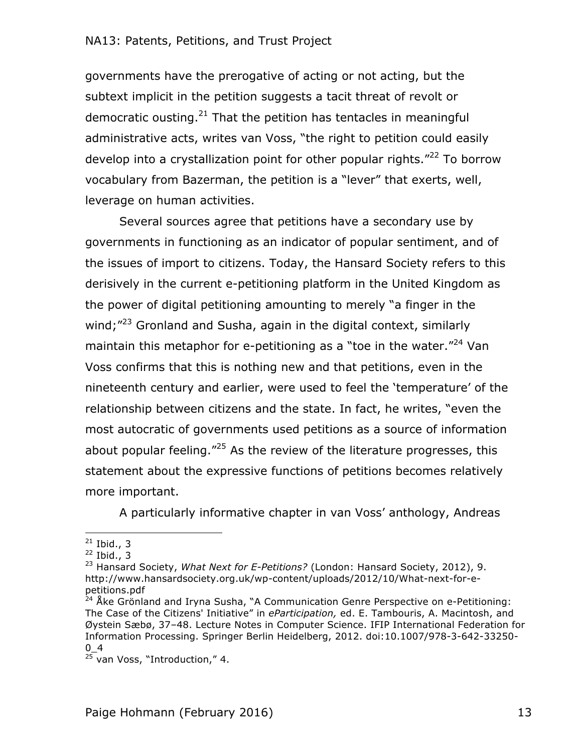governments have the prerogative of acting or not acting, but the subtext implicit in the petition suggests a tacit threat of revolt or democratic ousting. $21$  That the petition has tentacles in meaningful administrative acts, writes van Voss, "the right to petition could easily develop into a crystallization point for other popular rights."<sup>22</sup> To borrow vocabulary from Bazerman, the petition is a "lever" that exerts, well, leverage on human activities.

Several sources agree that petitions have a secondary use by governments in functioning as an indicator of popular sentiment, and of the issues of import to citizens. Today, the Hansard Society refers to this derisively in the current e-petitioning platform in the United Kingdom as the power of digital petitioning amounting to merely "a finger in the wind:<sup>"23</sup> Gronland and Susha, again in the digital context, similarly maintain this metaphor for e-petitioning as a "toe in the water. $"^{24}$  Van Voss confirms that this is nothing new and that petitions, even in the nineteenth century and earlier, were used to feel the 'temperature' of the relationship between citizens and the state. In fact, he writes, "even the most autocratic of governments used petitions as a source of information about popular feeling. $125$  As the review of the literature progresses, this statement about the expressive functions of petitions becomes relatively more important.

A particularly informative chapter in van Voss' anthology, Andreas

 $21$  Ibid., 3

 $22$  Ibid., 3

<sup>23</sup> Hansard Society, *What Next for E-Petitions?* (London: Hansard Society, 2012), 9. http://www.hansardsociety.org.uk/wp-content/uploads/2012/10/What-next-for-epetitions.pdf

<sup>&</sup>lt;sup>24</sup> Åke Grönland and Iryna Susha, "A Communication Genre Perspective on e-Petitioning: The Case of the Citizens' Initiative" in *eParticipation,* ed. E. Tambouris, A. Macintosh, and Øystein Sæbø, 37–48. Lecture Notes in Computer Science. IFIP International Federation for Information Processing. Springer Berlin Heidelberg, 2012. doi:10.1007/978-3-642-33250-  $0_4$ 

<sup>&</sup>lt;sup>25</sup> van Voss, "Introduction," 4.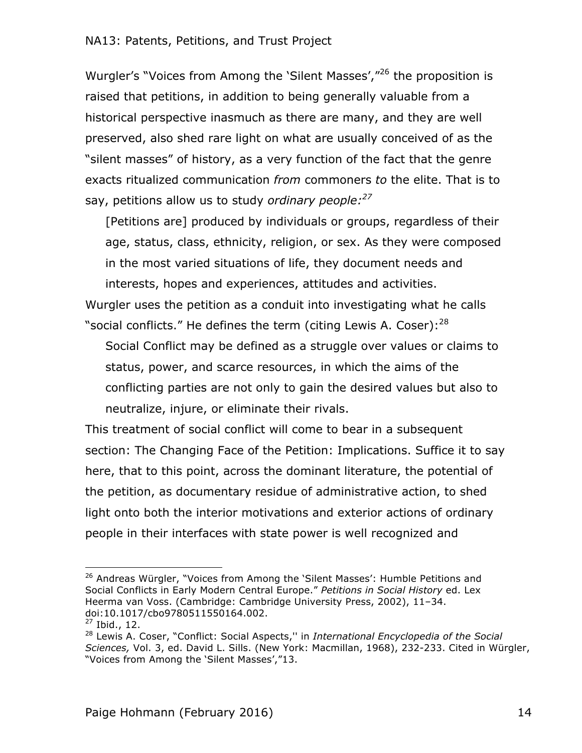Wurgler's "Voices from Among the 'Silent Masses',"26 the proposition is raised that petitions, in addition to being generally valuable from a historical perspective inasmuch as there are many, and they are well preserved, also shed rare light on what are usually conceived of as the "silent masses" of history, as a very function of the fact that the genre exacts ritualized communication *from* commoners *to* the elite. That is to say, petitions allow us to study *ordinary people:27*

[Petitions are] produced by individuals or groups, regardless of their age, status, class, ethnicity, religion, or sex. As they were composed in the most varied situations of life, they document needs and interests, hopes and experiences, attitudes and activities.

Wurgler uses the petition as a conduit into investigating what he calls "social conflicts." He defines the term (citing Lewis A. Coser): $^{28}$ 

Social Conflict may be defined as a struggle over values or claims to status, power, and scarce resources, in which the aims of the conflicting parties are not only to gain the desired values but also to neutralize, injure, or eliminate their rivals.

This treatment of social conflict will come to bear in a subsequent section: The Changing Face of the Petition: Implications. Suffice it to say here, that to this point, across the dominant literature, the potential of the petition, as documentary residue of administrative action, to shed light onto both the interior motivations and exterior actions of ordinary people in their interfaces with state power is well recognized and

 <sup>26</sup> Andreas Würgler, "Voices from Among the 'Silent Masses': Humble Petitions and Social Conflicts in Early Modern Central Europe." *Petitions in Social History* ed. Lex Heerma van Voss. (Cambridge: Cambridge University Press, 2002), 11–34. doi:10.1017/cbo9780511550164.002.

 $27$  Ibid., 12.

<sup>28</sup> Lewis A. Coser, "Conflict: Social Aspects,'' in *International Encyclopedia of the Social Sciences,* Vol. 3, ed. David L. Sills. (New York: Macmillan, 1968), 232-233. Cited in Würgler, "Voices from Among the 'Silent Masses',"13.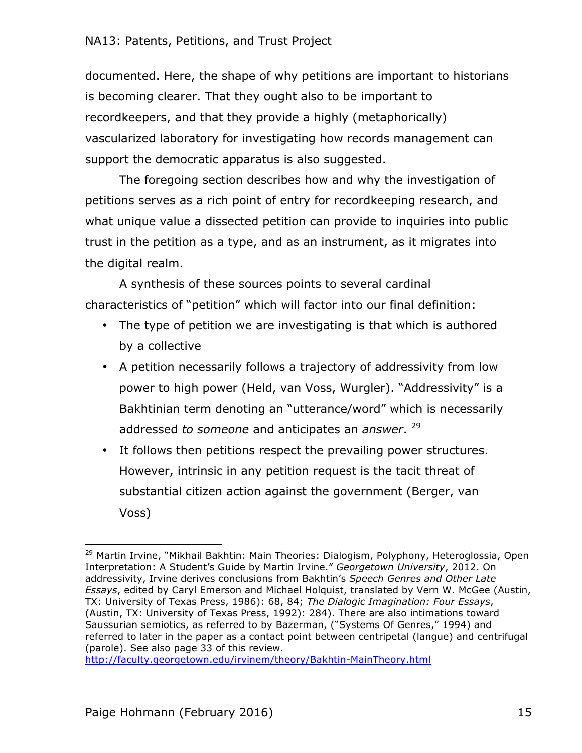documented. Here, the shape of why petitions are important to historians is becoming clearer. That they ought also to be important to recordkeepers, and that they provide a highly (metaphorically) vascularized laboratory for investigating how records management can support the democratic apparatus is also suggested.

The foregoing section describes how and why the investigation of petitions serves as a rich point of entry for recordkeeping research, and what unique value a dissected petition can provide to inquiries into public trust in the petition as a type, and as an instrument, as it migrates into the digital realm.

A synthesis of these sources points to several cardinal characteristics of "petition" which will factor into our final definition:

- The type of petition we are investigating is that which is authored by a collective
- A petition necessarily follows a trajectory of addressivity from low power to high power (Held, van Voss, Wurgler). "Addressivity" is a Bakhtinian term denoting an "utterance/word" which is necessarily addressed *to someone* and anticipates an *answer*. 29
- It follows then petitions respect the prevailing power structures. However, intrinsic in any petition request is the tacit threat of substantial citizen action against the government (Berger, van Voss)

http://faculty.georgetown.edu/irvinem/theory/Bakhtin-MainTheory.html

 <sup>29</sup> Martin Irvine, "Mikhail Bakhtin: Main Theories: Dialogism, Polyphony, Heteroglossia, Open Interpretation: A Student's Guide by Martin Irvine." *Georgetown University*, 2012. On addressivity, Irvine derives conclusions from Bakhtin's *Speech Genres and Other Late Essays*, edited by Caryl Emerson and Michael Holquist, translated by Vern W. McGee (Austin, TX: University of Texas Press, 1986): 68, 84; *The Dialogic Imagination: Four Essays*, (Austin, TX: University of Texas Press, 1992): 284). There are also intimations toward Saussurian semiotics, as referred to by Bazerman, ("Systems Of Genres," 1994) and referred to later in the paper as a contact point between centripetal (langue) and centrifugal (parole). See also page 33 of this review.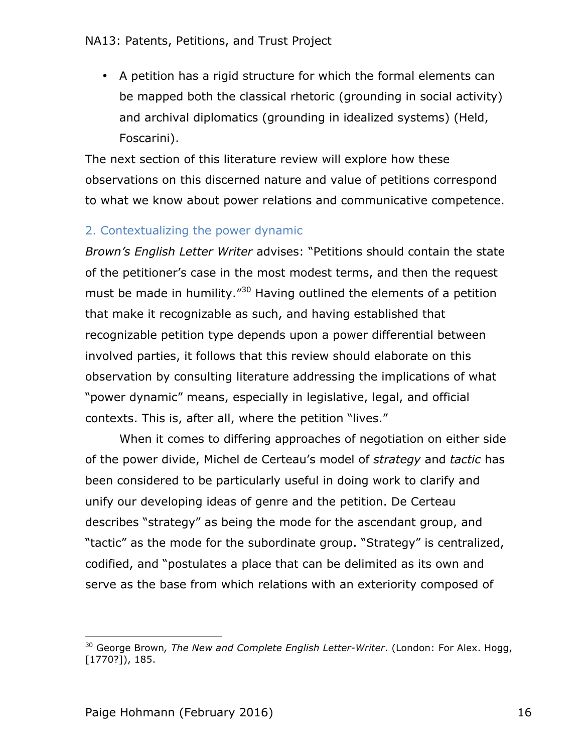• A petition has a rigid structure for which the formal elements can be mapped both the classical rhetoric (grounding in social activity) and archival diplomatics (grounding in idealized systems) (Held, Foscarini).

The next section of this literature review will explore how these observations on this discerned nature and value of petitions correspond to what we know about power relations and communicative competence.

## 2. Contextualizing the power dynamic

*Brown's English Letter Writer* advises: "Petitions should contain the state of the petitioner's case in the most modest terms, and then the request must be made in humility.<sup>"30</sup> Having outlined the elements of a petition that make it recognizable as such, and having established that recognizable petition type depends upon a power differential between involved parties, it follows that this review should elaborate on this observation by consulting literature addressing the implications of what "power dynamic" means, especially in legislative, legal, and official contexts. This is, after all, where the petition "lives."

When it comes to differing approaches of negotiation on either side of the power divide, Michel de Certeau's model of *strategy* and *tactic* has been considered to be particularly useful in doing work to clarify and unify our developing ideas of genre and the petition. De Certeau describes "strategy" as being the mode for the ascendant group, and "tactic" as the mode for the subordinate group. "Strategy" is centralized, codified, and "postulates a place that can be delimited as its own and serve as the base from which relations with an exteriority composed of

<sup>30</sup> George Brown*, The New and Complete English Letter-Writer*. (London: For Alex. Hogg, [1770?]), 185.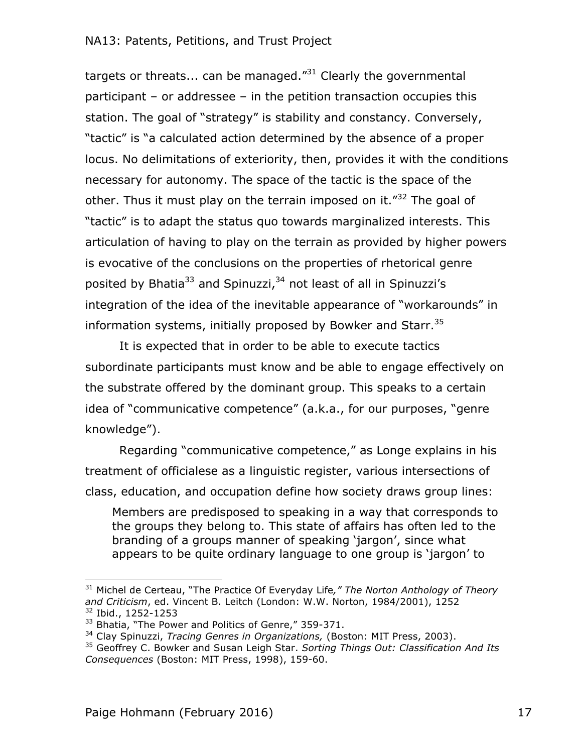targets or threats... can be managed. $^{31}$  Clearly the governmental participant – or addressee – in the petition transaction occupies this station. The goal of "strategy" is stability and constancy. Conversely, "tactic" is "a calculated action determined by the absence of a proper locus. No delimitations of exteriority, then, provides it with the conditions necessary for autonomy. The space of the tactic is the space of the other. Thus it must play on the terrain imposed on it.<sup>"32</sup> The goal of "tactic" is to adapt the status quo towards marginalized interests. This articulation of having to play on the terrain as provided by higher powers is evocative of the conclusions on the properties of rhetorical genre posited by Bhatia<sup>33</sup> and Spinuzzi,<sup>34</sup> not least of all in Spinuzzi's integration of the idea of the inevitable appearance of "workarounds" in information systems, initially proposed by Bowker and Starr.<sup>35</sup>

It is expected that in order to be able to execute tactics subordinate participants must know and be able to engage effectively on the substrate offered by the dominant group. This speaks to a certain idea of "communicative competence" (a.k.a., for our purposes, "genre knowledge").

Regarding "communicative competence," as Longe explains in his treatment of officialese as a linguistic register, various intersections of class, education, and occupation define how society draws group lines:

Members are predisposed to speaking in a way that corresponds to the groups they belong to. This state of affairs has often led to the branding of a groups manner of speaking 'jargon', since what appears to be quite ordinary language to one group is 'jargon' to

<sup>31</sup> Michel de Certeau, "The Practice Of Everyday Life*," The Norton Anthology of Theory and Criticism*, ed. Vincent B. Leitch (London: W.W. Norton, 1984/2001), 1252 <sup>32</sup> Ibid., 1252-1253

<sup>&</sup>lt;sup>33</sup> Bhatia, "The Power and Politics of Genre," 359-371.

<sup>34</sup> Clay Spinuzzi, *Tracing Genres in Organizations,* (Boston: MIT Press, 2003).

<sup>35</sup> Geoffrey C. Bowker and Susan Leigh Star. *Sorting Things Out: Classification And Its Consequences* (Boston: MIT Press, 1998), 159-60.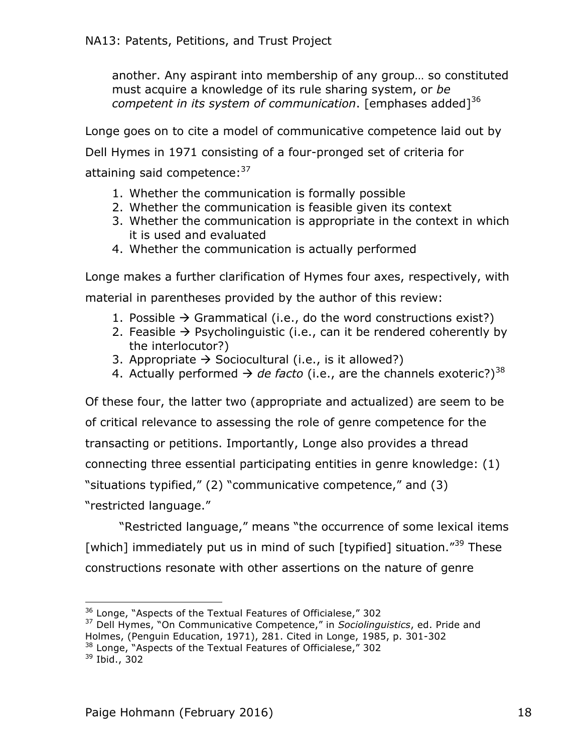another. Any aspirant into membership of any group… so constituted must acquire a knowledge of its rule sharing system, or *be competent in its system of communication*. [emphases added]<sup>36</sup>

Longe goes on to cite a model of communicative competence laid out by

Dell Hymes in 1971 consisting of a four-pronged set of criteria for

attaining said competence: 37

- 1. Whether the communication is formally possible
- 2. Whether the communication is feasible given its context
- 3. Whether the communication is appropriate in the context in which it is used and evaluated
- 4. Whether the communication is actually performed

Longe makes a further clarification of Hymes four axes, respectively, with material in parentheses provided by the author of this review:

- 1. Possible  $\rightarrow$  Grammatical (i.e., do the word constructions exist?)
- 2. Feasible  $\rightarrow$  Psycholinguistic (i.e., can it be rendered coherently by the interlocutor?)
- 3. Appropriate  $\rightarrow$  Sociocultural (i.e., is it allowed?)
- 4. Actually performed  $\rightarrow$  *de facto* (i.e., are the channels exoteric?)<sup>38</sup>

Of these four, the latter two (appropriate and actualized) are seem to be of critical relevance to assessing the role of genre competence for the transacting or petitions. Importantly, Longe also provides a thread connecting three essential participating entities in genre knowledge: (1) "situations typified," (2) "communicative competence," and (3) "restricted language."

"Restricted language," means "the occurrence of some lexical items [which] immediately put us in mind of such [typified] situation."<sup>39</sup> These constructions resonate with other assertions on the nature of genre

<sup>&</sup>lt;sup>36</sup> Longe, "Aspects of the Textual Features of Officialese," 302

<sup>37</sup> Dell Hymes, "On Communicative Competence," in *Sociolinguistics*, ed. Pride and

Holmes, (Penguin Education, 1971), 281. Cited in Longe, 1985, p. 301-302

<sup>&</sup>lt;sup>38</sup> Longe, "Aspects of the Textual Features of Officialese," 302

<sup>39</sup> Ibid., 302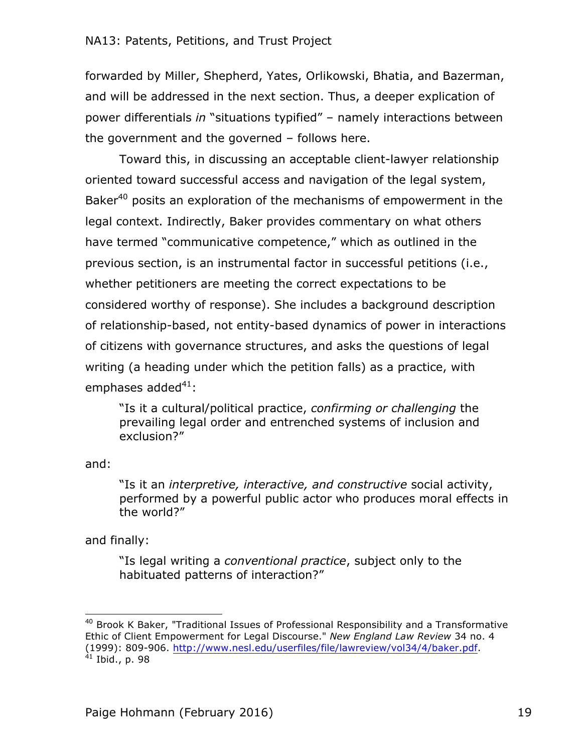forwarded by Miller, Shepherd, Yates, Orlikowski, Bhatia, and Bazerman, and will be addressed in the next section. Thus, a deeper explication of power differentials *in* "situations typified" – namely interactions between the government and the governed – follows here.

Toward this, in discussing an acceptable client-lawyer relationship oriented toward successful access and navigation of the legal system, Baker<sup>40</sup> posits an exploration of the mechanisms of empowerment in the legal context. Indirectly, Baker provides commentary on what others have termed "communicative competence," which as outlined in the previous section, is an instrumental factor in successful petitions (i.e., whether petitioners are meeting the correct expectations to be considered worthy of response). She includes a background description of relationship-based, not entity-based dynamics of power in interactions of citizens with governance structures, and asks the questions of legal writing (a heading under which the petition falls) as a practice, with emphases added $41$ :

"Is it a cultural/political practice, *confirming or challenging* the prevailing legal order and entrenched systems of inclusion and exclusion?"

and:

"Is it an *interpretive, interactive, and constructive* social activity, performed by a powerful public actor who produces moral effects in the world?"

and finally:

"Is legal writing a *conventional practice*, subject only to the habituated patterns of interaction?"

<sup>&</sup>lt;sup>40</sup> Brook K Baker, "Traditional Issues of Professional Responsibility and a Transformative Ethic of Client Empowerment for Legal Discourse." *New England Law Review* 34 no. 4 (1999): 809-906. http://www.nesl.edu/userfiles/file/lawreview/vol34/4/baker.pdf.  $^{41}$  Ibid., p. 98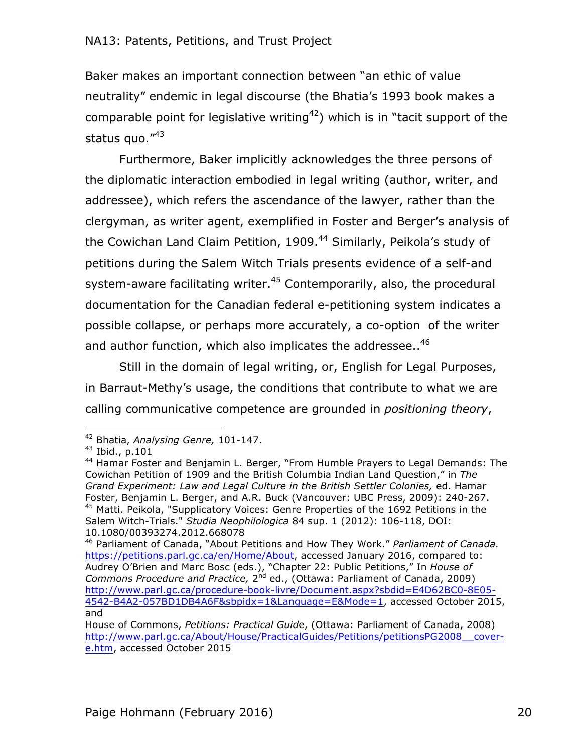Baker makes an important connection between "an ethic of value neutrality" endemic in legal discourse (the Bhatia's 1993 book makes a comparable point for legislative writing<sup>42</sup>) which is in "tacit support of the status quo."43

Furthermore, Baker implicitly acknowledges the three persons of the diplomatic interaction embodied in legal writing (author, writer, and addressee), which refers the ascendance of the lawyer, rather than the clergyman, as writer agent, exemplified in Foster and Berger's analysis of the Cowichan Land Claim Petition, 1909.<sup>44</sup> Similarly, Peikola's study of petitions during the Salem Witch Trials presents evidence of a self-and system-aware facilitating writer. $45$  Contemporarily, also, the procedural documentation for the Canadian federal e-petitioning system indicates a possible collapse, or perhaps more accurately, a co-option of the writer and author function, which also implicates the addressee..<sup>46</sup>

Still in the domain of legal writing, or, English for Legal Purposes, in Barraut-Methy's usage, the conditions that contribute to what we are calling communicative competence are grounded in *positioning theory*,

<sup>42</sup> Bhatia, *Analysing Genre,* 101-147.

<sup>43</sup> Ibid., p.101

<sup>&</sup>lt;sup>44</sup> Hamar Foster and Benjamin L. Berger, "From Humble Prayers to Legal Demands: The Cowichan Petition of 1909 and the British Columbia Indian Land Question," in *The Grand Experiment: Law and Legal Culture in the British Settler Colonies,* ed. Hamar Foster, Benjamin L. Berger, and A.R. Buck (Vancouver: UBC Press, 2009): 240-267. <sup>45</sup> Matti. Peikola, "Supplicatory Voices: Genre Properties of the 1692 Petitions in the Salem Witch-Trials." *Studia Neophilologica* 84 sup. 1 (2012): 106-118, DOI: 10.1080/00393274.2012.668078

<sup>46</sup> Parliament of Canada, "About Petitions and How They Work." *Parliament of Canada.*  https://petitions.parl.gc.ca/en/Home/About, accessed January 2016, compared to: Audrey O'Brien and Marc Bosc (eds.), "Chapter 22: Public Petitions," In *House of*  Commons Procedure and Practice, 2<sup>nd</sup> ed., (Ottawa: Parliament of Canada, 2009) http://www.parl.gc.ca/procedure-book-livre/Document.aspx?sbdid=E4D62BC0-8E05- 4542-B4A2-057BD1DB4A6F&sbpidx=1&Language=E&Mode=1, accessed October 2015, and

House of Commons, *Petitions: Practical Guid*e, (Ottawa: Parliament of Canada, 2008) http://www.parl.gc.ca/About/House/PracticalGuides/Petitions/petitionsPG2008\_\_covere.htm, accessed October 2015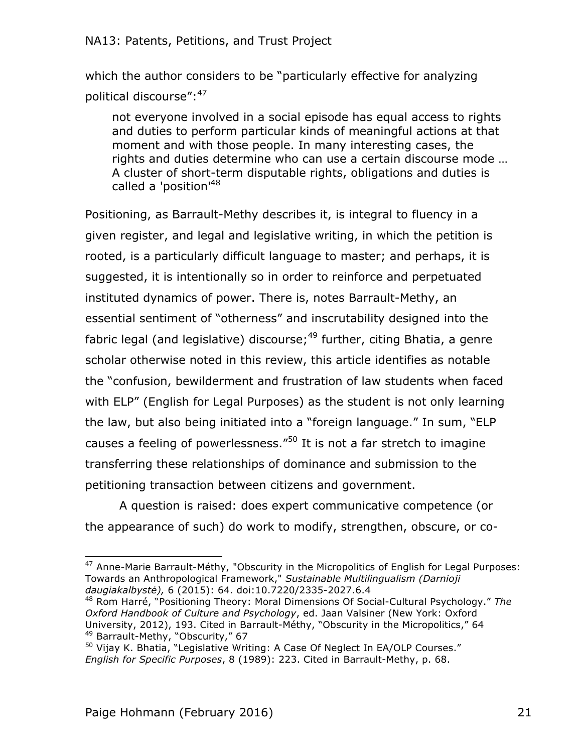which the author considers to be "particularly effective for analyzing political discourse":<sup>47</sup>

not everyone involved in a social episode has equal access to rights and duties to perform particular kinds of meaningful actions at that moment and with those people. In many interesting cases, the rights and duties determine who can use a certain discourse mode … A cluster of short-term disputable rights, obligations and duties is called a 'position'<sup>48</sup>

Positioning, as Barrault-Methy describes it, is integral to fluency in a given register, and legal and legislative writing, in which the petition is rooted, is a particularly difficult language to master; and perhaps, it is suggested, it is intentionally so in order to reinforce and perpetuated instituted dynamics of power. There is, notes Barrault-Methy, an essential sentiment of "otherness" and inscrutability designed into the fabric legal (and legislative) discourse;<sup>49</sup> further, citing Bhatia, a genre scholar otherwise noted in this review, this article identifies as notable the "confusion, bewilderment and frustration of law students when faced with ELP" (English for Legal Purposes) as the student is not only learning the law, but also being initiated into a "foreign language." In sum, "ELP causes a feeling of powerlessness."50 It is not a far stretch to imagine transferring these relationships of dominance and submission to the petitioning transaction between citizens and government.

A question is raised: does expert communicative competence (or the appearance of such) do work to modify, strengthen, obscure, or co-

  $47$  Anne-Marie Barrault-Méthy, "Obscurity in the Micropolitics of English for Legal Purposes: Towards an Anthropological Framework," *Sustainable Multilingualism (Darnioji daugiakalbystė),* 6 (2015): 64. doi:10.7220/2335-2027.6.4

<sup>48</sup> Rom Harré, "Positioning Theory: Moral Dimensions Of Social-Cultural Psychology." *The Oxford Handbook of Culture and Psychology*, ed. Jaan Valsiner (New York: Oxford University, 2012), 193. Cited in Barrault-Méthy, "Obscurity in the Micropolitics," 64 <sup>49</sup> Barrault-Methy, "Obscurity," 67

<sup>50</sup> Vijay K. Bhatia, "Legislative Writing: A Case Of Neglect In EA/OLP Courses." *English for Specific Purposes*, 8 (1989): 223. Cited in Barrault-Methy, p. 68.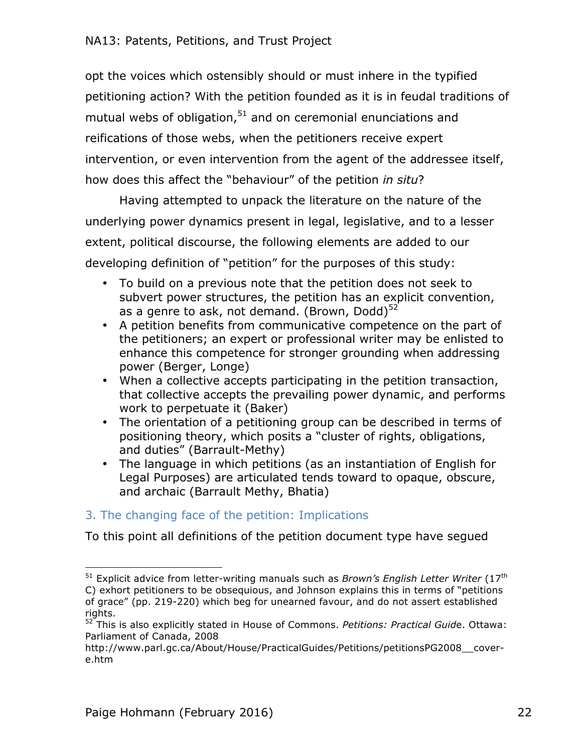opt the voices which ostensibly should or must inhere in the typified petitioning action? With the petition founded as it is in feudal traditions of mutual webs of obligation,<sup>51</sup> and on ceremonial enunciations and reifications of those webs, when the petitioners receive expert intervention, or even intervention from the agent of the addressee itself, how does this affect the "behaviour" of the petition *in situ*?

Having attempted to unpack the literature on the nature of the underlying power dynamics present in legal, legislative, and to a lesser extent, political discourse, the following elements are added to our developing definition of "petition" for the purposes of this study:

- To build on a previous note that the petition does not seek to subvert power structures, the petition has an explicit convention, as a genre to ask, not demand. (Brown, Dodd) $52$
- A petition benefits from communicative competence on the part of the petitioners; an expert or professional writer may be enlisted to enhance this competence for stronger grounding when addressing power (Berger, Longe)
- When a collective accepts participating in the petition transaction, that collective accepts the prevailing power dynamic, and performs work to perpetuate it (Baker)
- The orientation of a petitioning group can be described in terms of positioning theory, which posits a "cluster of rights, obligations, and duties" (Barrault-Methy)
- The language in which petitions (as an instantiation of English for Legal Purposes) are articulated tends toward to opaque, obscure, and archaic (Barrault Methy, Bhatia)

# 3. The changing face of the petition: Implications

To this point all definitions of the petition document type have segued

<sup>&</sup>lt;sup>51</sup> Explicit advice from letter-writing manuals such as *Brown's English Letter Writer* (17<sup>th</sup> C) exhort petitioners to be obsequious, and Johnson explains this in terms of "petitions of grace" (pp. 219-220) which beg for unearned favour, and do not assert established rights.

<sup>52</sup> This is also explicitly stated in House of Commons. *Petitions: Practical Guid*e. Ottawa: Parliament of Canada, 2008

http://www.parl.gc.ca/About/House/PracticalGuides/Petitions/petitionsPG2008\_\_covere.htm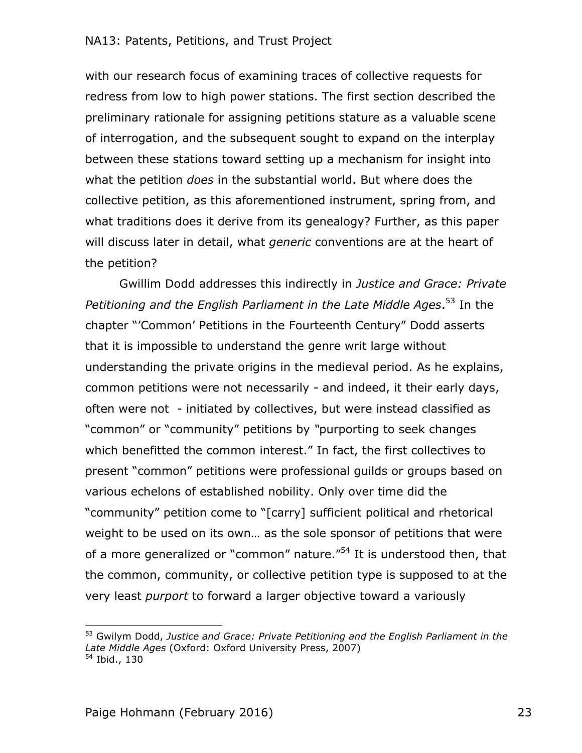with our research focus of examining traces of collective requests for redress from low to high power stations. The first section described the preliminary rationale for assigning petitions stature as a valuable scene of interrogation, and the subsequent sought to expand on the interplay between these stations toward setting up a mechanism for insight into what the petition *does* in the substantial world. But where does the collective petition, as this aforementioned instrument, spring from, and what traditions does it derive from its genealogy? Further, as this paper will discuss later in detail, what *generic* conventions are at the heart of the petition?

Gwillim Dodd addresses this indirectly in *Justice and Grace: Private Petitioning and the English Parliament in the Late Middle Ages*. <sup>53</sup> In the chapter "'Common' Petitions in the Fourteenth Century" Dodd asserts that it is impossible to understand the genre writ large without understanding the private origins in the medieval period. As he explains, common petitions were not necessarily - and indeed, it their early days, often were not - initiated by collectives, but were instead classified as "common" or "community" petitions by *"*purporting to seek changes which benefitted the common interest." In fact, the first collectives to present "common" petitions were professional guilds or groups based on various echelons of established nobility. Only over time did the "community" petition come to "[carry] sufficient political and rhetorical weight to be used on its own… as the sole sponsor of petitions that were of a more generalized or "common" nature.<sup>"54</sup> It is understood then, that the common, community, or collective petition type is supposed to at the very least *purport* to forward a larger objective toward a variously

<sup>53</sup> Gwilym Dodd, *Justice and Grace: Private Petitioning and the English Parliament in the Late Middle Ages* (Oxford: Oxford University Press, 2007) <sup>54</sup> Ibid., 130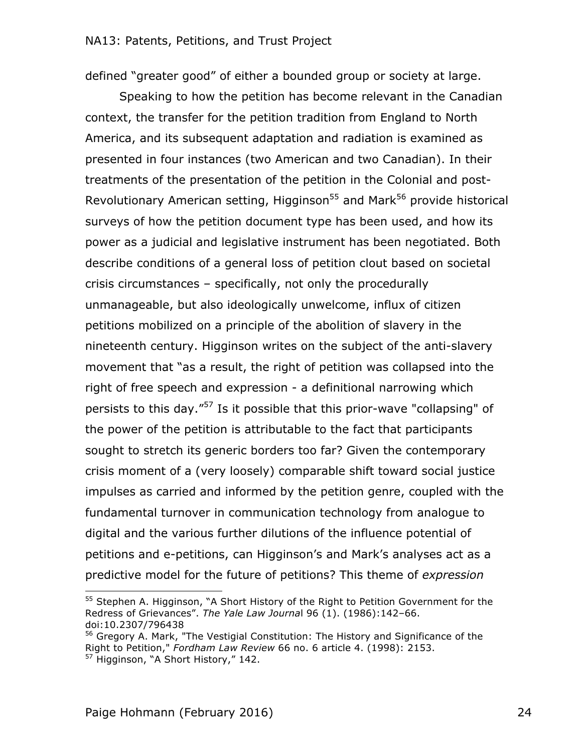defined "greater good" of either a bounded group or society at large.

Speaking to how the petition has become relevant in the Canadian context, the transfer for the petition tradition from England to North America, and its subsequent adaptation and radiation is examined as presented in four instances (two American and two Canadian). In their treatments of the presentation of the petition in the Colonial and post-Revolutionary American setting, Higginson<sup>55</sup> and Mark<sup>56</sup> provide historical surveys of how the petition document type has been used, and how its power as a judicial and legislative instrument has been negotiated. Both describe conditions of a general loss of petition clout based on societal crisis circumstances – specifically, not only the procedurally unmanageable, but also ideologically unwelcome, influx of citizen petitions mobilized on a principle of the abolition of slavery in the nineteenth century. Higginson writes on the subject of the anti-slavery movement that "as a result, the right of petition was collapsed into the right of free speech and expression - a definitional narrowing which persists to this day."<sup>57</sup> Is it possible that this prior-wave "collapsing" of the power of the petition is attributable to the fact that participants sought to stretch its generic borders too far? Given the contemporary crisis moment of a (very loosely) comparable shift toward social justice impulses as carried and informed by the petition genre, coupled with the fundamental turnover in communication technology from analogue to digital and the various further dilutions of the influence potential of petitions and e-petitions, can Higginson's and Mark's analyses act as a predictive model for the future of petitions? This theme of *expression*

<sup>&</sup>lt;sup>55</sup> Stephen A. Higginson, "A Short History of the Right to Petition Government for the Redress of Grievances". *The Yale Law Journa*l 96 (1). (1986):142–66. doi:10.2307/796438

<sup>&</sup>lt;sup>56</sup> Gregory A. Mark, "The Vestigial Constitution: The History and Significance of the Right to Petition," *Fordham Law Review* 66 no. 6 article 4. (1998): 2153. <sup>57</sup> Higginson, "A Short History," 142.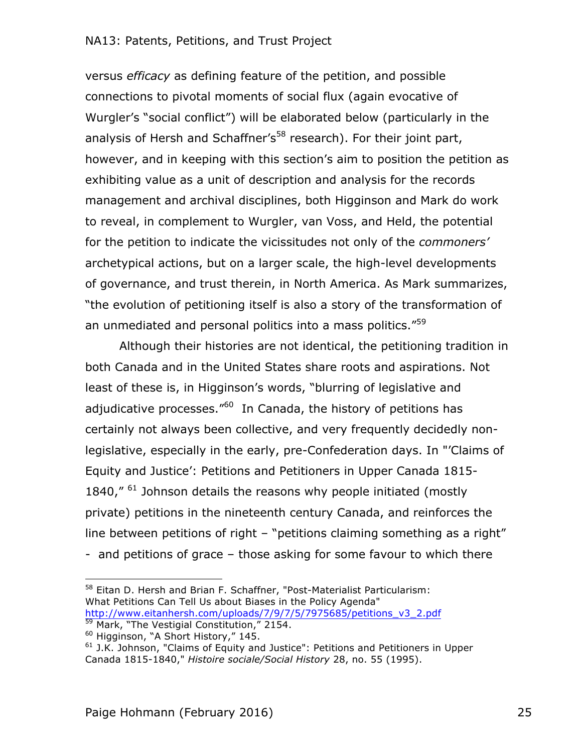versus *efficacy* as defining feature of the petition, and possible connections to pivotal moments of social flux (again evocative of Wurgler's "social conflict") will be elaborated below (particularly in the analysis of Hersh and Schaffner's<sup>58</sup> research). For their joint part, however, and in keeping with this section's aim to position the petition as exhibiting value as a unit of description and analysis for the records management and archival disciplines, both Higginson and Mark do work to reveal, in complement to Wurgler, van Voss, and Held, the potential for the petition to indicate the vicissitudes not only of the *commoners'*  archetypical actions, but on a larger scale, the high-level developments of governance, and trust therein, in North America. As Mark summarizes, "the evolution of petitioning itself is also a story of the transformation of an unmediated and personal politics into a mass politics."<sup>59</sup>

Although their histories are not identical, the petitioning tradition in both Canada and in the United States share roots and aspirations. Not least of these is, in Higginson's words, "blurring of legislative and adjudicative processes."<sup>60</sup> In Canada, the history of petitions has certainly not always been collective, and very frequently decidedly nonlegislative, especially in the early, pre-Confederation days. In "'Claims of Equity and Justice': Petitions and Petitioners in Upper Canada 1815- 1840, $''$  <sup>61</sup> Johnson details the reasons why people initiated (mostly private) petitions in the nineteenth century Canada, and reinforces the line between petitions of right – "petitions claiming something as a right" - and petitions of grace – those asking for some favour to which there

 <sup>58</sup> Eitan D. Hersh and Brian F. Schaffner, "Post-Materialist Particularism: What Petitions Can Tell Us about Biases in the Policy Agenda" http://www.eitanhersh.com/uploads/7/9/7/5/7975685/petitions\_v3\_2.pdf <sup>59</sup> Mark, "The Vestigial Constitution," 2154.

<sup>60</sup> Higginson, "A Short History," 145.

 $61$  J.K. Johnson, "Claims of Equity and Justice": Petitions and Petitioners in Upper Canada 1815-1840," *Histoire sociale/Social History* 28, no. 55 (1995).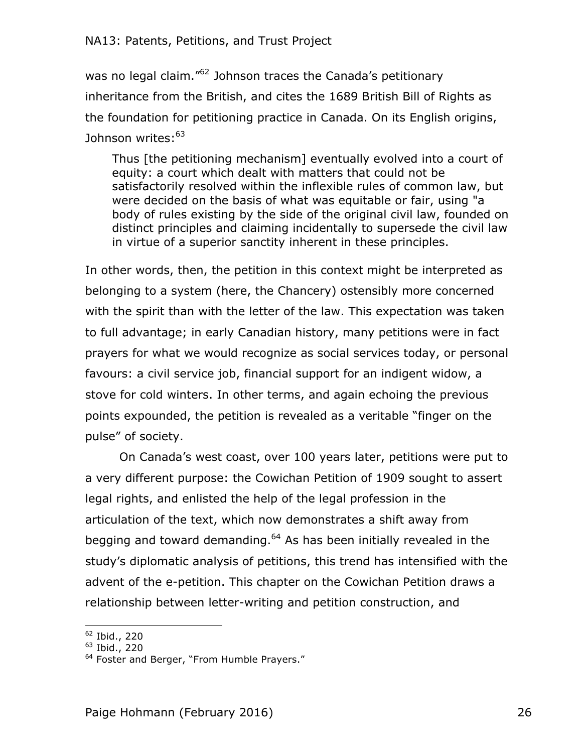was no legal claim.<sup>"62</sup> Johnson traces the Canada's petitionary inheritance from the British, and cites the 1689 British Bill of Rights as the foundation for petitioning practice in Canada. On its English origins, Johnson writes:<sup>63</sup>

Thus [the petitioning mechanism] eventually evolved into a court of equity: a court which dealt with matters that could not be satisfactorily resolved within the inflexible rules of common law, but were decided on the basis of what was equitable or fair, using "a body of rules existing by the side of the original civil law, founded on distinct principles and claiming incidentally to supersede the civil law in virtue of a superior sanctity inherent in these principles.

In other words, then, the petition in this context might be interpreted as belonging to a system (here, the Chancery) ostensibly more concerned with the spirit than with the letter of the law. This expectation was taken to full advantage; in early Canadian history, many petitions were in fact prayers for what we would recognize as social services today, or personal favours: a civil service job, financial support for an indigent widow, a stove for cold winters. In other terms, and again echoing the previous points expounded, the petition is revealed as a veritable "finger on the pulse" of society.

On Canada's west coast, over 100 years later, petitions were put to a very different purpose: the Cowichan Petition of 1909 sought to assert legal rights, and enlisted the help of the legal profession in the articulation of the text, which now demonstrates a shift away from begging and toward demanding.<sup>64</sup> As has been initially revealed in the study's diplomatic analysis of petitions, this trend has intensified with the advent of the e-petition. This chapter on the Cowichan Petition draws a relationship between letter-writing and petition construction, and

 <sup>62</sup> Ibid., 220

 $63$  Ibid., 220

<sup>&</sup>lt;sup>64</sup> Foster and Berger, "From Humble Prayers."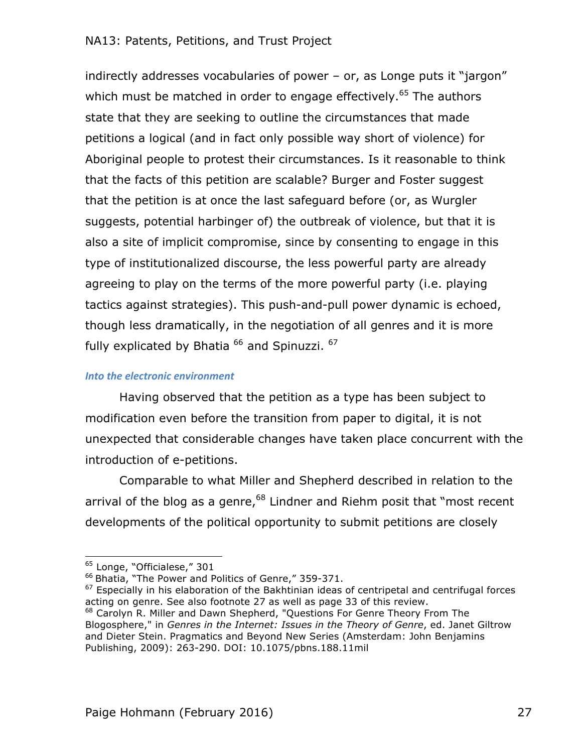indirectly addresses vocabularies of power – or, as Longe puts it "jargon" which must be matched in order to engage effectively.<sup>65</sup> The authors state that they are seeking to outline the circumstances that made petitions a logical (and in fact only possible way short of violence) for Aboriginal people to protest their circumstances. Is it reasonable to think that the facts of this petition are scalable? Burger and Foster suggest that the petition is at once the last safeguard before (or, as Wurgler suggests, potential harbinger of) the outbreak of violence, but that it is also a site of implicit compromise, since by consenting to engage in this type of institutionalized discourse, the less powerful party are already agreeing to play on the terms of the more powerful party (i.e. playing tactics against strategies). This push-and-pull power dynamic is echoed, though less dramatically, in the negotiation of all genres and it is more fully explicated by Bhatia  $^{66}$  and Spinuzzi.  $^{67}$ 

#### **Into the electronic environment**

Having observed that the petition as a type has been subject to modification even before the transition from paper to digital, it is not unexpected that considerable changes have taken place concurrent with the introduction of e-petitions.

Comparable to what Miller and Shepherd described in relation to the arrival of the blog as a genre,  $68$  Lindner and Riehm posit that "most recent developments of the political opportunity to submit petitions are closely

 <sup>65</sup> Longe, "Officialese," 301

<sup>&</sup>lt;sup>66</sup> Bhatia, "The Power and Politics of Genre," 359-371.

 $67$  Especially in his elaboration of the Bakhtinian ideas of centripetal and centrifugal forces acting on genre. See also footnote 27 as well as page 33 of this review.

<sup>&</sup>lt;sup>68</sup> Carolyn R. Miller and Dawn Shepherd, "Questions For Genre Theory From The Blogosphere," in *Genres in the Internet: Issues in the Theory of Genre*, ed. Janet Giltrow and Dieter Stein. Pragmatics and Beyond New Series (Amsterdam: John Benjamins Publishing, 2009): 263-290. DOI: 10.1075/pbns.188.11mil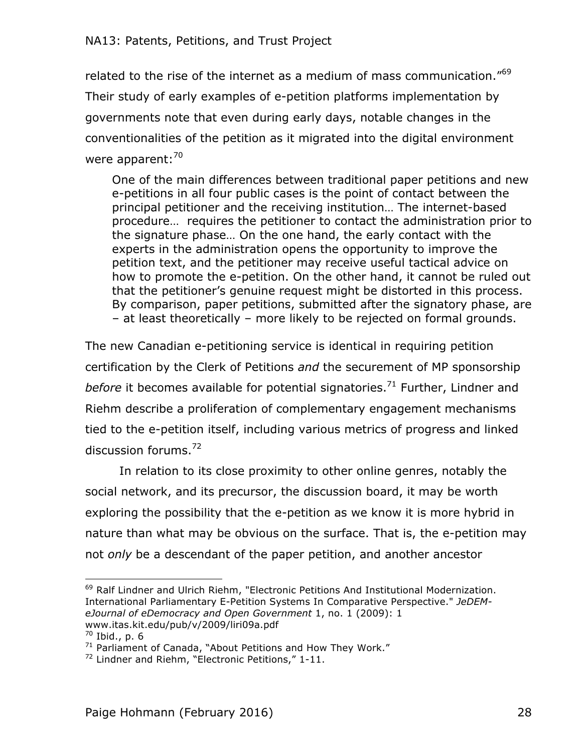related to the rise of the internet as a medium of mass communication." $69$ Their study of early examples of e-petition platforms implementation by governments note that even during early days, notable changes in the conventionalities of the petition as it migrated into the digital environment were apparent:<sup>70</sup>

One of the main differences between traditional paper petitions and new e-petitions in all four public cases is the point of contact between the principal petitioner and the receiving institution… The internet-based procedure… requires the petitioner to contact the administration prior to the signature phase… On the one hand, the early contact with the experts in the administration opens the opportunity to improve the petition text, and the petitioner may receive useful tactical advice on how to promote the e-petition. On the other hand, it cannot be ruled out that the petitioner's genuine request might be distorted in this process. By comparison, paper petitions, submitted after the signatory phase, are – at least theoretically – more likely to be rejected on formal grounds.

The new Canadian e-petitioning service is identical in requiring petition certification by the Clerk of Petitions *and* the securement of MP sponsorship *before* it becomes available for potential signatories.<sup>71</sup> Further, Lindner and Riehm describe a proliferation of complementary engagement mechanisms tied to the e-petition itself, including various metrics of progress and linked discussion forums.<sup>72</sup>

In relation to its close proximity to other online genres, notably the social network, and its precursor, the discussion board, it may be worth exploring the possibility that the e-petition as we know it is more hybrid in nature than what may be obvious on the surface. That is, the e-petition may not *only* be a descendant of the paper petition, and another ancestor

 <sup>69</sup> Ralf Lindner and Ulrich Riehm, "Electronic Petitions And Institutional Modernization. International Parliamentary E-Petition Systems In Comparative Perspective." *JeDEMeJournal of eDemocracy and Open Government* 1, no. 1 (2009): 1 www.itas.kit.edu/pub/v/2009/liri09a.pdf

<sup>70</sup> Ibid., p. 6

 $71$  Parliament of Canada, "About Petitions and How They Work."

 $72$  Lindner and Riehm, "Electronic Petitions," 1-11.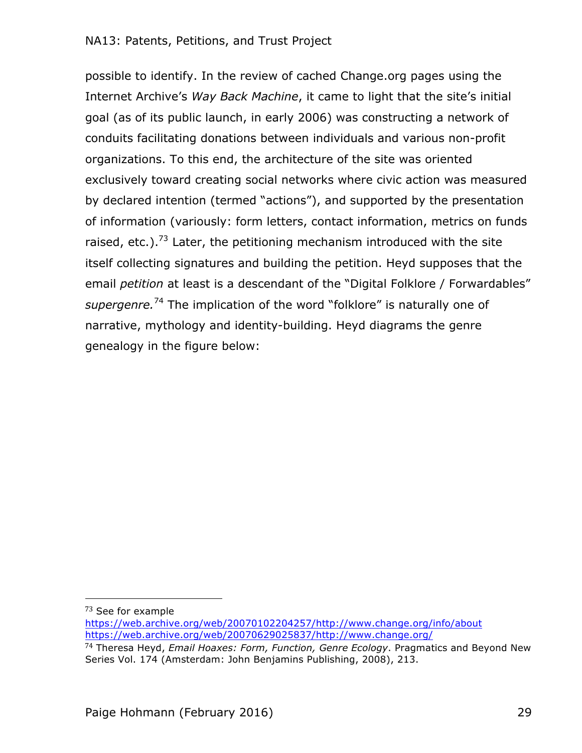possible to identify. In the review of cached Change.org pages using the Internet Archive's *Way Back Machine*, it came to light that the site's initial goal (as of its public launch, in early 2006) was constructing a network of conduits facilitating donations between individuals and various non-profit organizations. To this end, the architecture of the site was oriented exclusively toward creating social networks where civic action was measured by declared intention (termed "actions"), and supported by the presentation of information (variously: form letters, contact information, metrics on funds raised, etc.).<sup>73</sup> Later, the petitioning mechanism introduced with the site itself collecting signatures and building the petition. Heyd supposes that the email *petition* at least is a descendant of the "Digital Folklore / Forwardables" *supergenre.*<sup>74</sup> The implication of the word "folklore" is naturally one of narrative, mythology and identity-building. Heyd diagrams the genre genealogy in the figure below:

<sup>73</sup> See for example

https://web.archive.org/web/20070102204257/http://www.change.org/info/about https://web.archive.org/web/20070629025837/http://www.change.org/

<sup>74</sup> Theresa Heyd, *Email Hoaxes: Form, Function, Genre Ecology*. Pragmatics and Beyond New Series Vol. 174 (Amsterdam: John Benjamins Publishing, 2008), 213.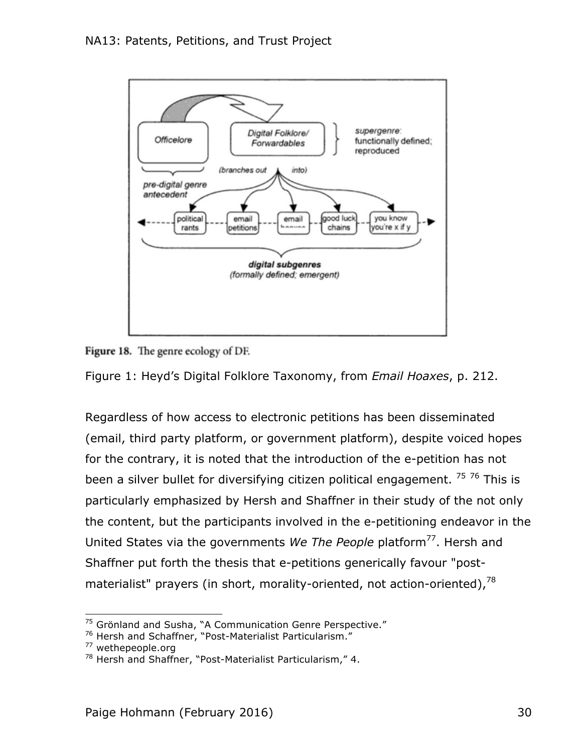



Figure 1: Heyd's Digital Folklore Taxonomy, from *Email Hoaxes*, p. 212.

Regardless of how access to electronic petitions has been disseminated (email, third party platform, or government platform), despite voiced hopes for the contrary, it is noted that the introduction of the e-petition has not been a silver bullet for diversifying citizen political engagement. <sup>75</sup> 76 This is particularly emphasized by Hersh and Shaffner in their study of the not only the content, but the participants involved in the e-petitioning endeavor in the United States via the governments *We The People* platform<sup>77</sup>. Hersh and Shaffner put forth the thesis that e-petitions generically favour "postmaterialist" prayers (in short, morality-oriented, not action-oriented).<sup>78</sup>

 <sup>75</sup> Grönland and Susha, "A Communication Genre Perspective."

<sup>&</sup>lt;sup>76</sup> Hersh and Schaffner, "Post-Materialist Particularism."

<sup>&</sup>lt;sup>77</sup> wethepeople.org

 $78$  Hersh and Shaffner, "Post-Materialist Particularism," 4.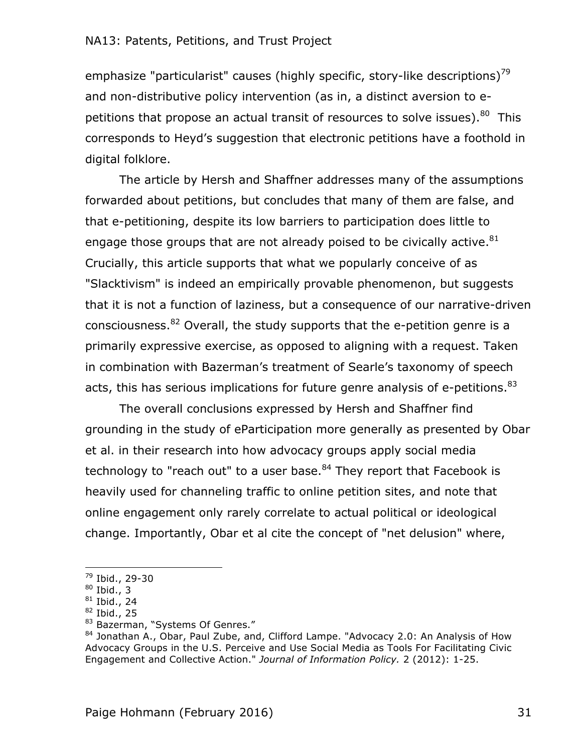emphasize "particularist" causes (highly specific, story-like descriptions)<sup>79</sup> and non-distributive policy intervention (as in, a distinct aversion to epetitions that propose an actual transit of resources to solve issues). $80$  This corresponds to Heyd's suggestion that electronic petitions have a foothold in digital folklore.

The article by Hersh and Shaffner addresses many of the assumptions forwarded about petitions, but concludes that many of them are false, and that e-petitioning, despite its low barriers to participation does little to engage those groups that are not already poised to be civically active.  $81$ Crucially, this article supports that what we popularly conceive of as "Slacktivism" is indeed an empirically provable phenomenon, but suggests that it is not a function of laziness, but a consequence of our narrative-driven consciousness.  $82$  Overall, the study supports that the e-petition genre is a primarily expressive exercise, as opposed to aligning with a request. Taken in combination with Bazerman's treatment of Searle's taxonomy of speech acts, this has serious implications for future genre analysis of e-petitions.<sup>83</sup>

The overall conclusions expressed by Hersh and Shaffner find grounding in the study of eParticipation more generally as presented by Obar et al. in their research into how advocacy groups apply social media technology to "reach out" to a user base. $84$  They report that Facebook is heavily used for channeling traffic to online petition sites, and note that online engagement only rarely correlate to actual political or ideological change. Importantly, Obar et al cite the concept of "net delusion" where,

<sup>&</sup>lt;sup>79</sup> Ibid., 29-30

 $80$  Ibid., 3

 $81$  Ibid., 24

 $82$  Ibid., 25

<sup>83</sup> Bazerman, "Systems Of Genres."

 $84$  Jonathan A., Obar, Paul Zube, and, Clifford Lampe. "Advocacy 2.0: An Analysis of How Advocacy Groups in the U.S. Perceive and Use Social Media as Tools For Facilitating Civic Engagement and Collective Action." *Journal of Information Policy.* 2 (2012): 1-25.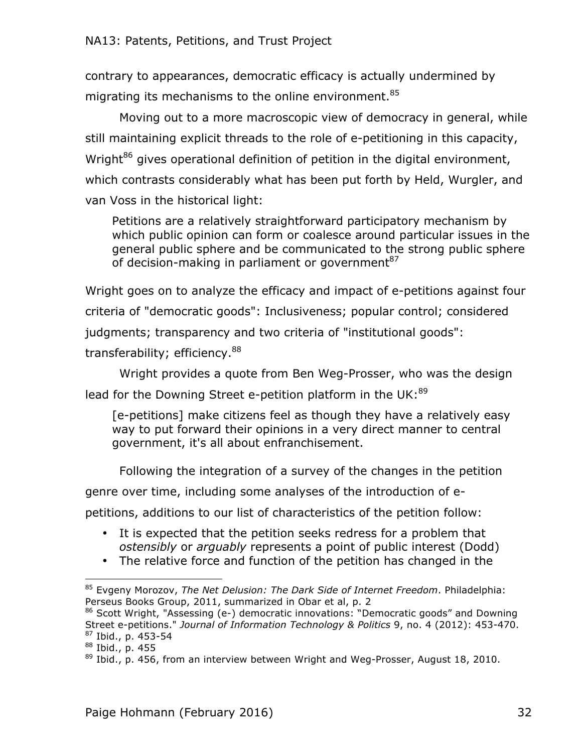contrary to appearances, democratic efficacy is actually undermined by migrating its mechanisms to the online environment.<sup>85</sup>

Moving out to a more macroscopic view of democracy in general, while still maintaining explicit threads to the role of e-petitioning in this capacity, Wright<sup>86</sup> gives operational definition of petition in the digital environment, which contrasts considerably what has been put forth by Held, Wurgler, and van Voss in the historical light:

Petitions are a relatively straightforward participatory mechanism by which public opinion can form or coalesce around particular issues in the general public sphere and be communicated to the strong public sphere of decision-making in parliament or government $^{87}$ 

Wright goes on to analyze the efficacy and impact of e-petitions against four criteria of "democratic goods": Inclusiveness; popular control; considered judgments; transparency and two criteria of "institutional goods": transferability; efficiency.<sup>88</sup>

Wright provides a quote from Ben Weg-Prosser, who was the design

lead for the Downing Street e-petition platform in the UK:<sup>89</sup>

[e-petitions] make citizens feel as though they have a relatively easy way to put forward their opinions in a very direct manner to central government, it's all about enfranchisement.

Following the integration of a survey of the changes in the petition

genre over time, including some analyses of the introduction of e-

petitions, additions to our list of characteristics of the petition follow:

- It is expected that the petition seeks redress for a problem that *ostensibly* or *arguably* represents a point of public interest (Dodd)
- The relative force and function of the petition has changed in the

<sup>85</sup> Evgeny Morozov, *The Net Delusion: The Dark Side of Internet Freedom*. Philadelphia: Perseus Books Group, 2011, summarized in Obar et al, p. 2

<sup>86</sup> Scott Wright, "Assessing (e-) democratic innovations: "Democratic goods" and Downing Street e-petitions." *Journal of Information Technology & Politics* 9, no. 4 (2012): 453-470. <sup>87</sup> Ibid., p. 453-54

<sup>88</sup> Ibid., p. 455

 $89$  Ibid., p. 456, from an interview between Wright and Weg-Prosser, August 18, 2010.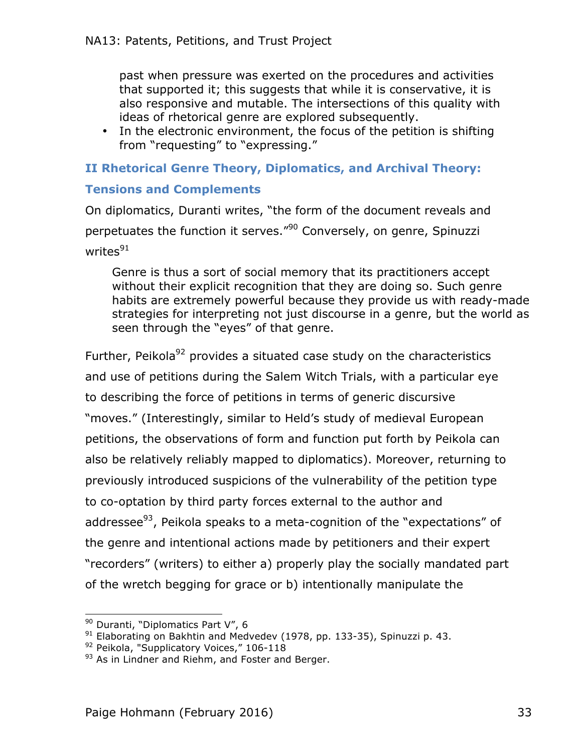past when pressure was exerted on the procedures and activities that supported it; this suggests that while it is conservative, it is also responsive and mutable. The intersections of this quality with ideas of rhetorical genre are explored subsequently.

• In the electronic environment, the focus of the petition is shifting from "requesting" to "expressing."

## **II Rhetorical Genre Theory, Diplomatics, and Archival Theory:**

#### **Tensions and Complements**

On diplomatics, Duranti writes, "the form of the document reveals and perpetuates the function it serves."<sup>90</sup> Conversely, on genre, Spinuzzi writes $91$ 

Genre is thus a sort of social memory that its practitioners accept without their explicit recognition that they are doing so. Such genre habits are extremely powerful because they provide us with ready-made strategies for interpreting not just discourse in a genre, but the world as seen through the "eyes" of that genre.

Further, Peikola $92$  provides a situated case study on the characteristics and use of petitions during the Salem Witch Trials, with a particular eye to describing the force of petitions in terms of generic discursive "moves." (Interestingly, similar to Held's study of medieval European petitions, the observations of form and function put forth by Peikola can also be relatively reliably mapped to diplomatics). Moreover, returning to previously introduced suspicions of the vulnerability of the petition type to co-optation by third party forces external to the author and addressee $93$ , Peikola speaks to a meta-cognition of the "expectations" of the genre and intentional actions made by petitioners and their expert "recorders" (writers) to either a) properly play the socially mandated part of the wretch begging for grace or b) intentionally manipulate the

<sup>&</sup>lt;sup>90</sup> Duranti, "Diplomatics Part V", 6

 $91$  Elaborating on Bakhtin and Medvedev (1978, pp. 133-35), Spinuzzi p. 43.

<sup>92</sup> Peikola, "Supplicatory Voices," 106-118

<sup>93</sup> As in Lindner and Riehm, and Foster and Berger.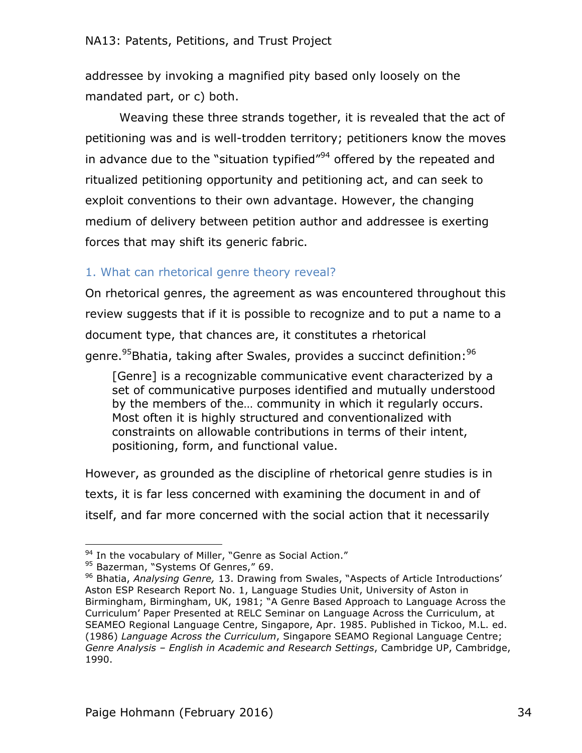addressee by invoking a magnified pity based only loosely on the mandated part, or c) both.

Weaving these three strands together, it is revealed that the act of petitioning was and is well-trodden territory; petitioners know the moves in advance due to the "situation typified" $94$  offered by the repeated and ritualized petitioning opportunity and petitioning act, and can seek to exploit conventions to their own advantage. However, the changing medium of delivery between petition author and addressee is exerting forces that may shift its generic fabric.

# 1. What can rhetorical genre theory reveal?

On rhetorical genres, the agreement as was encountered throughout this review suggests that if it is possible to recognize and to put a name to a document type, that chances are, it constitutes a rhetorical genre.<sup>95</sup>Bhatia, taking after Swales, provides a succinct definition:<sup>96</sup>

[Genre] is a recognizable communicative event characterized by a set of communicative purposes identified and mutually understood by the members of the… community in which it regularly occurs. Most often it is highly structured and conventionalized with constraints on allowable contributions in terms of their intent, positioning, form, and functional value.

However, as grounded as the discipline of rhetorical genre studies is in texts, it is far less concerned with examining the document in and of itself, and far more concerned with the social action that it necessarily

<sup>&</sup>lt;sup>94</sup> In the vocabulary of Miller, "Genre as Social Action."

<sup>95</sup> Bazerman, "Systems Of Genres," 69.

<sup>96</sup> Bhatia, *Analysing Genre,* 13. Drawing from Swales, "Aspects of Article Introductions' Aston ESP Research Report No. 1, Language Studies Unit, University of Aston in Birmingham, Birmingham, UK, 1981; "A Genre Based Approach to Language Across the Curriculum' Paper Presented at RELC Seminar on Language Across the Curriculum, at SEAMEO Regional Language Centre, Singapore, Apr. 1985. Published in Tickoo, M.L. ed. (1986) *Language Across the Curriculum*, Singapore SEAMO Regional Language Centre; *Genre Analysis – English in Academic and Research Settings*, Cambridge UP, Cambridge, 1990.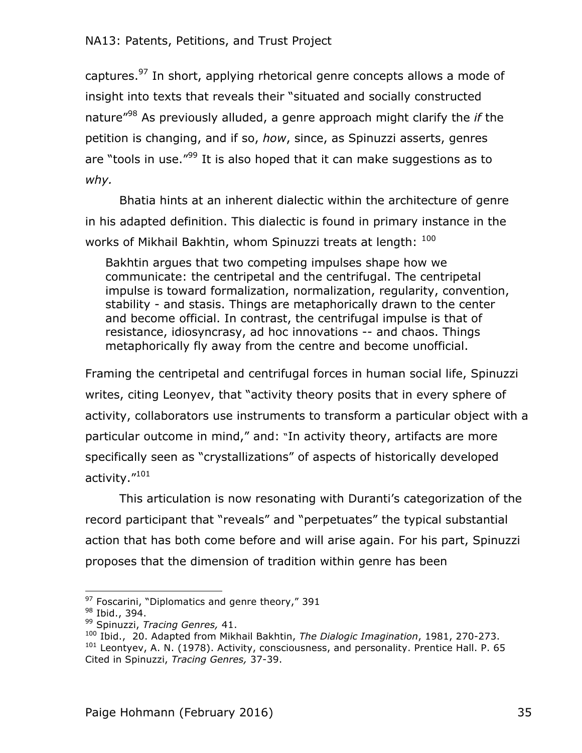captures.<sup>97</sup> In short, applying rhetorical genre concepts allows a mode of insight into texts that reveals their "situated and socially constructed nature"98 As previously alluded, a genre approach might clarify the *if* the petition is changing, and if so, *how*, since, as Spinuzzi asserts, genres are "tools in use. $199$  It is also hoped that it can make suggestions as to *why.* 

Bhatia hints at an inherent dialectic within the architecture of genre in his adapted definition. This dialectic is found in primary instance in the works of Mikhail Bakhtin, whom Spinuzzi treats at length:  $100$ 

Bakhtin argues that two competing impulses shape how we communicate: the centripetal and the centrifugal. The centripetal impulse is toward formalization, normalization, regularity, convention, stability - and stasis. Things are metaphorically drawn to the center and become official. In contrast, the centrifugal impulse is that of resistance, idiosyncrasy, ad hoc innovations -- and chaos. Things metaphorically fly away from the centre and become unofficial.

Framing the centripetal and centrifugal forces in human social life, Spinuzzi writes, citing Leonyev, that "activity theory posits that in every sphere of activity, collaborators use instruments to transform a particular object with a particular outcome in mind," and: "In activity theory, artifacts are more specifically seen as "crystallizations" of aspects of historically developed activity."<sup>101</sup>

This articulation is now resonating with Duranti's categorization of the record participant that "reveals" and "perpetuates" the typical substantial action that has both come before and will arise again. For his part, Spinuzzi proposes that the dimension of tradition within genre has been

 $97$  Foscarini, "Diplomatics and genre theory," 391

<sup>98</sup> Ibid., 394.

<sup>99</sup> Spinuzzi, *Tracing Genres,* 41.

<sup>100</sup> Ibid., 20. Adapted from Mikhail Bakhtin, *The Dialogic Imagination*, 1981, 270-273. <sup>101</sup> Leontyev, A. N. (1978). Activity, consciousness, and personality. Prentice Hall. P. 65 Cited in Spinuzzi, *Tracing Genres,* 37-39.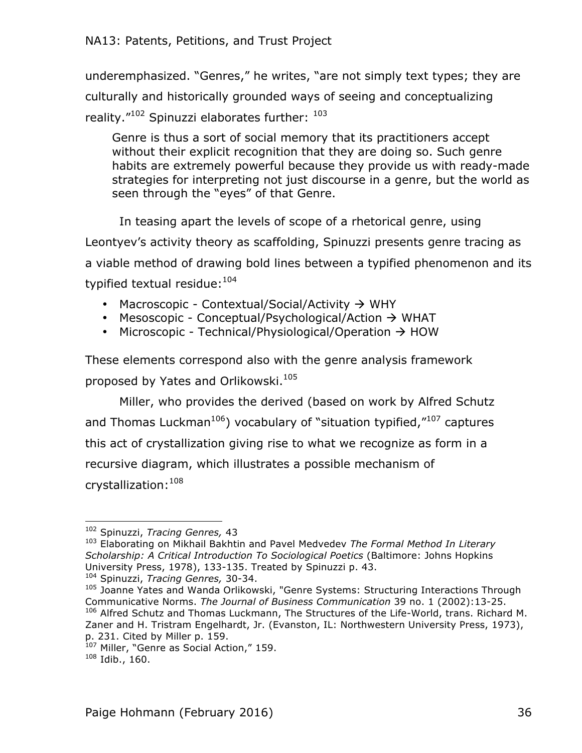underemphasized. "Genres," he writes, "are not simply text types; they are culturally and historically grounded ways of seeing and conceptualizing reality."<sup>102</sup> Spinuzzi elaborates further: <sup>103</sup>

Genre is thus a sort of social memory that its practitioners accept without their explicit recognition that they are doing so. Such genre habits are extremely powerful because they provide us with ready-made strategies for interpreting not just discourse in a genre, but the world as seen through the "eyes" of that Genre.

In teasing apart the levels of scope of a rhetorical genre, using Leontyev's activity theory as scaffolding, Spinuzzi presents genre tracing as a viable method of drawing bold lines between a typified phenomenon and its typified textual residue: 104

- Macroscopic Contextual/Social/Activity  $\rightarrow$  WHY
- Mesoscopic Conceptual/Psychological/Action  $\rightarrow$  WHAT
- Microscopic Technical/Physiological/Operation  $\rightarrow$  HOW

These elements correspond also with the genre analysis framework proposed by Yates and Orlikowski.<sup>105</sup>

Miller, who provides the derived (based on work by Alfred Schutz and Thomas Luckman<sup>106</sup>) vocabulary of "situation typified, $^{\prime\prime}$ <sup>107</sup> captures this act of crystallization giving rise to what we recognize as form in a recursive diagram, which illustrates a possible mechanism of crystallization: 108

 <sup>102</sup> Spinuzzi, *Tracing Genres,* 43

<sup>103</sup> Elaborating on Mikhail Bakhtin and Pavel Medvedev *The Formal Method In Literary Scholarship: A Critical Introduction To Sociological Poetics* (Baltimore: Johns Hopkins University Press, 1978), 133-135. Treated by Spinuzzi p. 43. <sup>104</sup> Spinuzzi, *Tracing Genres,* 30-34.

<sup>&</sup>lt;sup>105</sup> Joanne Yates and Wanda Orlikowski, "Genre Systems: Structuring Interactions Through Communicative Norms. *The Journal of Business Communication* 39 no. 1 (2002):13-25. <sup>106</sup> Alfred Schutz and Thomas Luckmann, The Structures of the Life-World, trans. Richard M. Zaner and H. Tristram Engelhardt, Jr. (Evanston, IL: Northwestern University Press, 1973), p. 231. Cited by Miller p. 159.

<sup>&</sup>lt;sup>107</sup> Miller, "Genre as Social Action," 159.

<sup>108</sup> Idib., 160.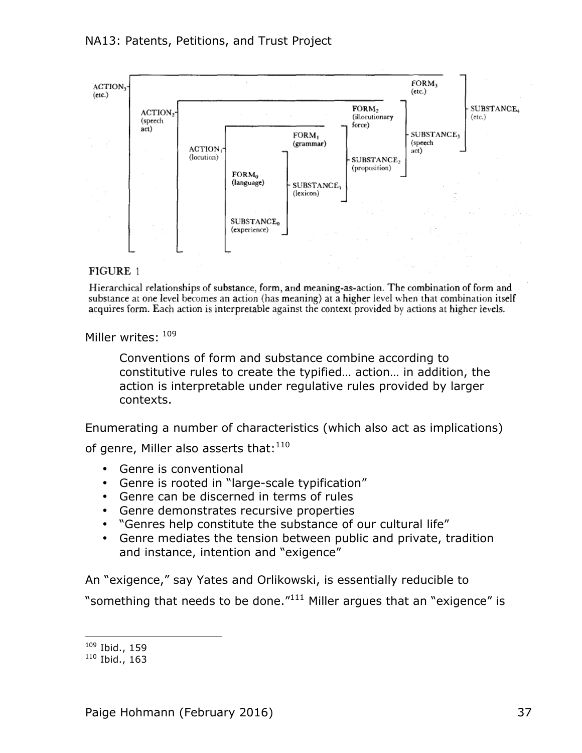

#### FIGURE 1

Hierarchical relationships of substance, form, and meaning-as-action. The combination of form and substance at one level becomes an action (has meaning) at a higher level when that combination itself acquires form. Each action is interpretable against the context provided by actions at higher levels.

Miller writes:  $^{109}$ 

Conventions of form and substance combine according to constitutive rules to create the typified… action… in addition, the action is interpretable under regulative rules provided by larger contexts.

Enumerating a number of characteristics (which also act as implications)

of genre, Miller also asserts that:  $110$ 

- Genre is conventional
- Genre is rooted in "large-scale typification"
- Genre can be discerned in terms of rules
- Genre demonstrates recursive properties
- "Genres help constitute the substance of our cultural life"
- Genre mediates the tension between public and private, tradition and instance, intention and "exigence"

An "exigence," say Yates and Orlikowski, is essentially reducible to "something that needs to be done. $111$ <sup>111</sup> Miller argues that an "exigence" is

 <sup>109</sup> Ibid., 159

 $110$  Ibid., 163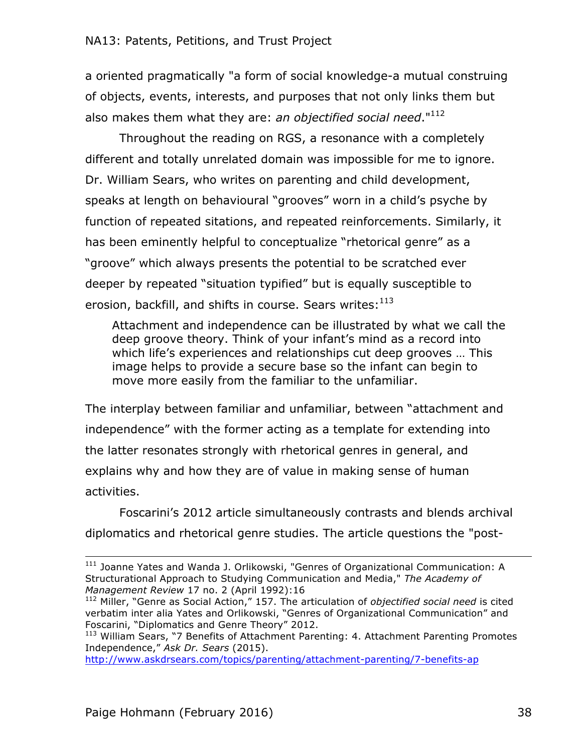a oriented pragmatically "a form of social knowledge-a mutual construing of objects, events, interests, and purposes that not only links them but also makes them what they are: *an objectified social need*."112

Throughout the reading on RGS, a resonance with a completely different and totally unrelated domain was impossible for me to ignore. Dr. William Sears, who writes on parenting and child development, speaks at length on behavioural "grooves" worn in a child's psyche by function of repeated sitations, and repeated reinforcements. Similarly, it has been eminently helpful to conceptualize "rhetorical genre" as a "groove" which always presents the potential to be scratched ever deeper by repeated "situation typified" but is equally susceptible to erosion, backfill, and shifts in course. Sears writes: $^{113}$ 

Attachment and independence can be illustrated by what we call the deep groove theory. Think of your infant's mind as a record into which life's experiences and relationships cut deep grooves … This image helps to provide a secure base so the infant can begin to move more easily from the familiar to the unfamiliar.

The interplay between familiar and unfamiliar, between "attachment and independence" with the former acting as a template for extending into the latter resonates strongly with rhetorical genres in general, and explains why and how they are of value in making sense of human activities.

Foscarini's 2012 article simultaneously contrasts and blends archival diplomatics and rhetorical genre studies. The article questions the "post-

<u> 1989 - Andrea Santa Andrea Andrea Andrea Andrea Andrea Andrea Andrea Andrea Andrea Andrea Andrea Andrea Andr</u>

<sup>&</sup>lt;sup>111</sup> Joanne Yates and Wanda J. Orlikowski, "Genres of Organizational Communication: A Structurational Approach to Studying Communication and Media," *The Academy of Management Review* 17 no. 2 (April 1992):16

<sup>112</sup> Miller, "Genre as Social Action," 157. The articulation of *objectified social need* is cited verbatim inter alia Yates and Orlikowski, "Genres of Organizational Communication" and Foscarini, "Diplomatics and Genre Theory" 2012.

<sup>113</sup> William Sears, "7 Benefits of Attachment Parenting: 4. Attachment Parenting Promotes Independence," *Ask Dr. Sears* (2015).

http://www.askdrsears.com/topics/parenting/attachment-parenting/7-benefits-ap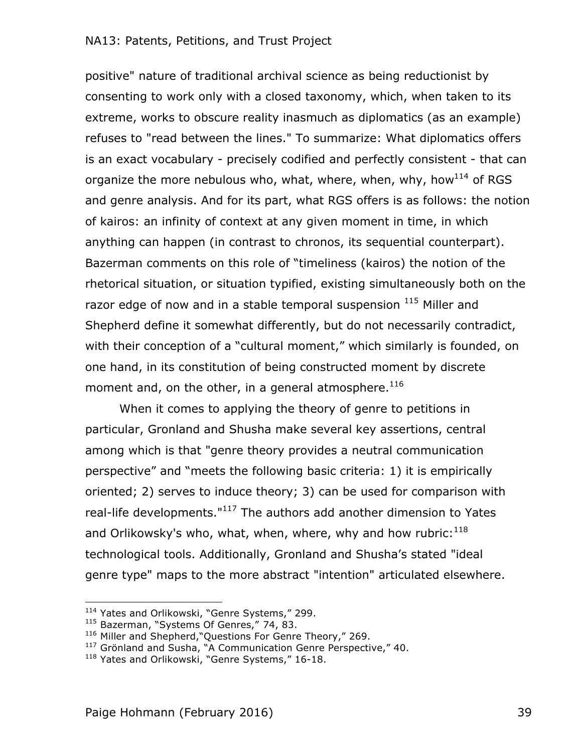positive" nature of traditional archival science as being reductionist by consenting to work only with a closed taxonomy, which, when taken to its extreme, works to obscure reality inasmuch as diplomatics (as an example) refuses to "read between the lines." To summarize: What diplomatics offers is an exact vocabulary - precisely codified and perfectly consistent - that can organize the more nebulous who, what, where, when, why, how<sup>114</sup> of RGS and genre analysis. And for its part, what RGS offers is as follows: the notion of kairos: an infinity of context at any given moment in time, in which anything can happen (in contrast to chronos, its sequential counterpart). Bazerman comments on this role of "timeliness (kairos) the notion of the rhetorical situation, or situation typified, existing simultaneously both on the razor edge of now and in a stable temporal suspension  $^{115}$  Miller and Shepherd define it somewhat differently, but do not necessarily contradict, with their conception of a "cultural moment," which similarly is founded, on one hand, in its constitution of being constructed moment by discrete moment and, on the other, in a general atmosphere. $^{116}$ 

When it comes to applying the theory of genre to petitions in particular, Gronland and Shusha make several key assertions, central among which is that "genre theory provides a neutral communication perspective" and "meets the following basic criteria: 1) it is empirically oriented; 2) serves to induce theory; 3) can be used for comparison with real-life developments."<sup>117</sup> The authors add another dimension to Yates and Orlikowsky's who, what, when, where, why and how rubric: $^{118}$ technological tools. Additionally, Gronland and Shusha's stated "ideal genre type" maps to the more abstract "intention" articulated elsewhere.

<sup>&</sup>lt;sup>114</sup> Yates and Orlikowski, "Genre Systems," 299.

<sup>&</sup>lt;sup>115</sup> Bazerman, "Systems Of Genres," 74, 83.

<sup>116</sup> Miller and Shepherd, "Questions For Genre Theory," 269.

 $117$  Grönland and Susha, "A Communication Genre Perspective," 40.

<sup>&</sup>lt;sup>118</sup> Yates and Orlikowski, "Genre Systems," 16-18.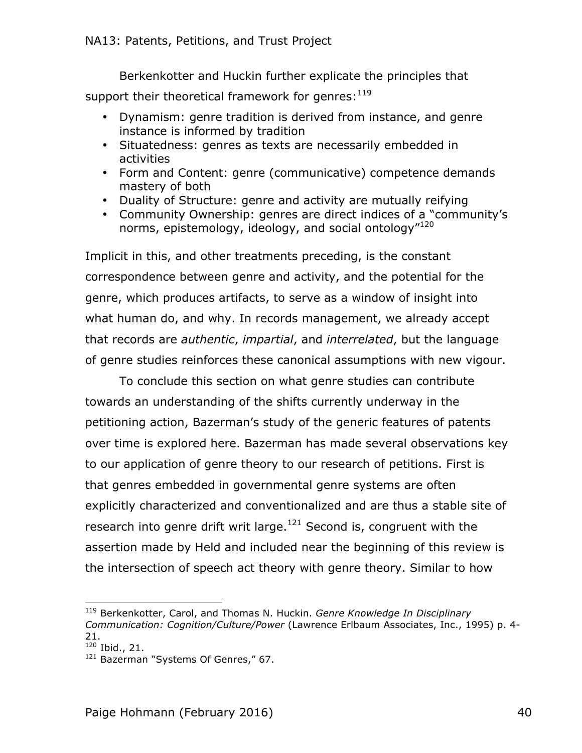Berkenkotter and Huckin further explicate the principles that support their theoretical framework for genres: $^{119}$ 

- Dynamism: genre tradition is derived from instance, and genre instance is informed by tradition
- Situatedness: genres as texts are necessarily embedded in activities
- Form and Content: genre (communicative) competence demands mastery of both
- Duality of Structure: genre and activity are mutually reifying
- Community Ownership: genres are direct indices of a "community's norms, epistemology, ideology, and social ontology"<sup>120</sup>

Implicit in this, and other treatments preceding, is the constant correspondence between genre and activity, and the potential for the genre, which produces artifacts, to serve as a window of insight into what human do, and why. In records management, we already accept that records are *authentic*, *impartial*, and *interrelated*, but the language of genre studies reinforces these canonical assumptions with new vigour.

To conclude this section on what genre studies can contribute towards an understanding of the shifts currently underway in the petitioning action, Bazerman's study of the generic features of patents over time is explored here. Bazerman has made several observations key to our application of genre theory to our research of petitions. First is that genres embedded in governmental genre systems are often explicitly characterized and conventionalized and are thus a stable site of research into genre drift writ large. $121$  Second is, congruent with the assertion made by Held and included near the beginning of this review is the intersection of speech act theory with genre theory. Similar to how

 <sup>119</sup> Berkenkotter, Carol, and Thomas N. Huckin. *Genre Knowledge In Disciplinary Communication: Cognition/Culture/Power* (Lawrence Erlbaum Associates, Inc., 1995) p. 4- 21.

<sup>120</sup> Ibid., 21.

<sup>&</sup>lt;sup>121</sup> Bazerman "Systems Of Genres," 67.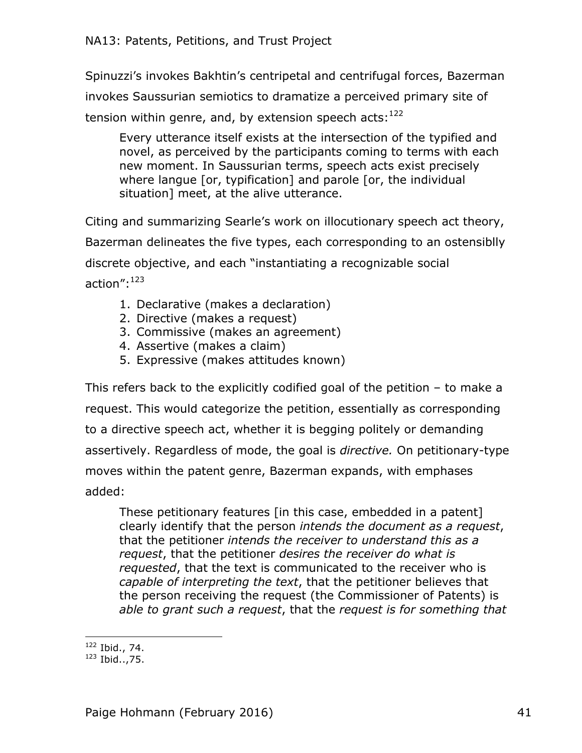Spinuzzi's invokes Bakhtin's centripetal and centrifugal forces, Bazerman invokes Saussurian semiotics to dramatize a perceived primary site of tension within genre, and, by extension speech acts:  $^{122}$ 

Every utterance itself exists at the intersection of the typified and novel, as perceived by the participants coming to terms with each new moment. In Saussurian terms, speech acts exist precisely where langue [or, typification] and parole [or, the individual situation] meet, at the alive utterance.

Citing and summarizing Searle's work on illocutionary speech act theory, Bazerman delineates the five types, each corresponding to an ostensiblly discrete objective, and each "instantiating a recognizable social action":123

- 1. Declarative (makes a declaration)
- 2. Directive (makes a request)
- 3. Commissive (makes an agreement)
- 4. Assertive (makes a claim)
- 5. Expressive (makes attitudes known)

This refers back to the explicitly codified goal of the petition – to make a request. This would categorize the petition, essentially as corresponding to a directive speech act, whether it is begging politely or demanding assertively. Regardless of mode, the goal is *directive.* On petitionary-type moves within the patent genre, Bazerman expands, with emphases added:

These petitionary features [in this case, embedded in a patent] clearly identify that the person *intends the document as a request*, that the petitioner *intends the receiver to understand this as a request*, that the petitioner *desires the receiver do what is requested*, that the text is communicated to the receiver who is *capable of interpreting the text*, that the petitioner believes that the person receiving the request (the Commissioner of Patents) is *able to grant such a request*, that the *request is for something that* 

  $122$  Ibid., 74.

 $123$  Ibid.., 75.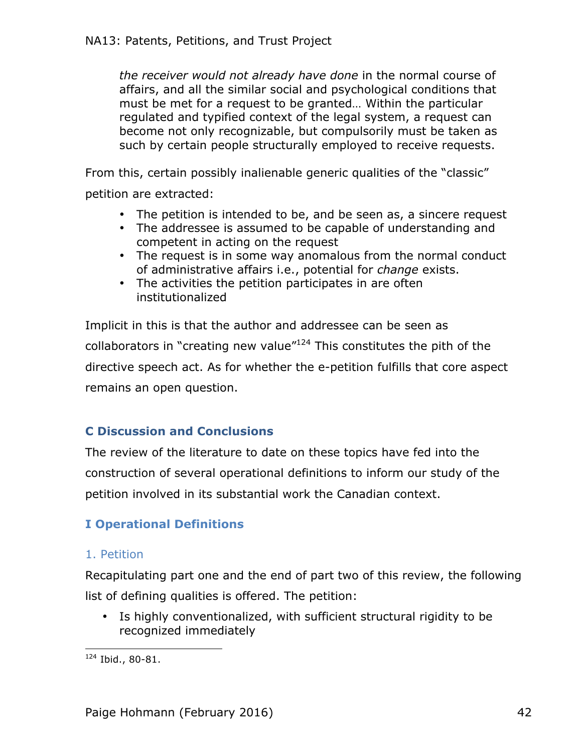*the receiver would not already have done* in the normal course of affairs, and all the similar social and psychological conditions that must be met for a request to be granted… Within the particular regulated and typified context of the legal system, a request can become not only recognizable, but compulsorily must be taken as such by certain people structurally employed to receive requests.

From this, certain possibly inalienable generic qualities of the "classic"

petition are extracted:

- The petition is intended to be, and be seen as, a sincere request
- The addressee is assumed to be capable of understanding and competent in acting on the request
- The request is in some way anomalous from the normal conduct of administrative affairs i.e., potential for *change* exists.
- The activities the petition participates in are often institutionalized

Implicit in this is that the author and addressee can be seen as collaborators in "creating new value"124 This constitutes the pith of the directive speech act. As for whether the e-petition fulfills that core aspect remains an open question.

# **C Discussion and Conclusions**

The review of the literature to date on these topics have fed into the construction of several operational definitions to inform our study of the petition involved in its substantial work the Canadian context.

# **I Operational Definitions**

## 1. Petition

Recapitulating part one and the end of part two of this review, the following list of defining qualities is offered. The petition:

• Is highly conventionalized, with sufficient structural rigidity to be recognized immediately

<sup>124</sup> Ibid., 80-81.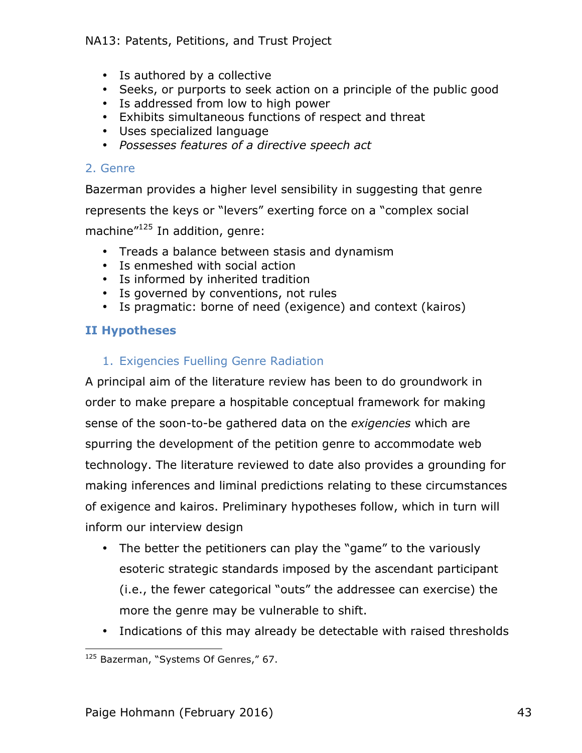- Is authored by a collective
- Seeks, or purports to seek action on a principle of the public good
- Is addressed from low to high power
- Exhibits simultaneous functions of respect and threat
- Uses specialized language
- *Possesses features of a directive speech act*

#### 2. Genre

Bazerman provides a higher level sensibility in suggesting that genre represents the keys or "levers" exerting force on a "complex social machine<sup>"125</sup> In addition, genre:

- Treads a balance between stasis and dynamism
- Is enmeshed with social action
- Is informed by inherited tradition
- Is governed by conventions, not rules
- Is pragmatic: borne of need (exigence) and context (kairos)

#### **II Hypotheses**

## 1. Exigencies Fuelling Genre Radiation

A principal aim of the literature review has been to do groundwork in order to make prepare a hospitable conceptual framework for making sense of the soon-to-be gathered data on the *exigencies* which are spurring the development of the petition genre to accommodate web technology. The literature reviewed to date also provides a grounding for making inferences and liminal predictions relating to these circumstances of exigence and kairos. Preliminary hypotheses follow, which in turn will inform our interview design

- The better the petitioners can play the "game" to the variously esoteric strategic standards imposed by the ascendant participant (i.e., the fewer categorical "outs" the addressee can exercise) the more the genre may be vulnerable to shift.
- Indications of this may already be detectable with raised thresholds

 <sup>125</sup> Bazerman, "Systems Of Genres," 67.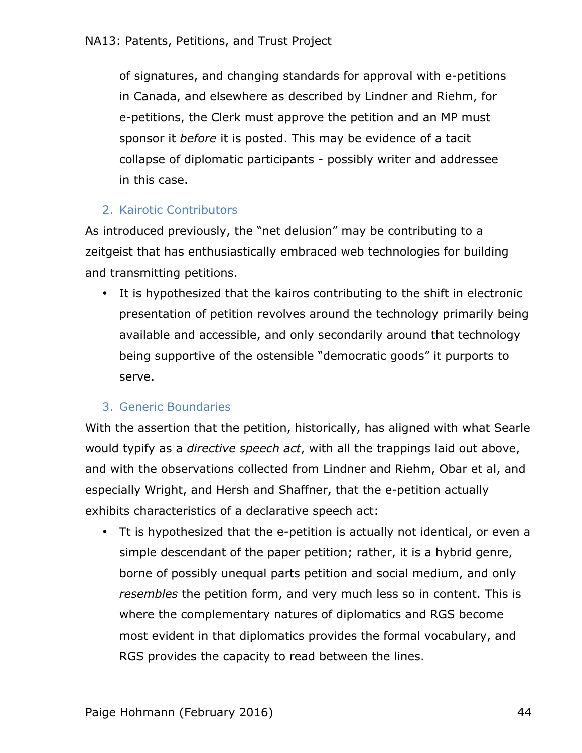of signatures, and changing standards for approval with e-petitions in Canada, and elsewhere as described by Lindner and Riehm, for e-petitions, the Clerk must approve the petition and an MP must sponsor it *before* it is posted. This may be evidence of a tacit collapse of diplomatic participants - possibly writer and addressee in this case.

# 2. Kairotic Contributors

As introduced previously, the "net delusion" may be contributing to a zeitgeist that has enthusiastically embraced web technologies for building and transmitting petitions.

• It is hypothesized that the kairos contributing to the shift in electronic presentation of petition revolves around the technology primarily being available and accessible, and only secondarily around that technology being supportive of the ostensible "democratic goods" it purports to serve.

# 3. Generic Boundaries

With the assertion that the petition, historically, has aligned with what Searle would typify as a *directive speech act*, with all the trappings laid out above, and with the observations collected from Lindner and Riehm, Obar et al, and especially Wright, and Hersh and Shaffner, that the e-petition actually exhibits characteristics of a declarative speech act:

• Tt is hypothesized that the e-petition is actually not identical, or even a simple descendant of the paper petition; rather, it is a hybrid genre, borne of possibly unequal parts petition and social medium, and only *resembles* the petition form, and very much less so in content. This is where the complementary natures of diplomatics and RGS become most evident in that diplomatics provides the formal vocabulary, and RGS provides the capacity to read between the lines.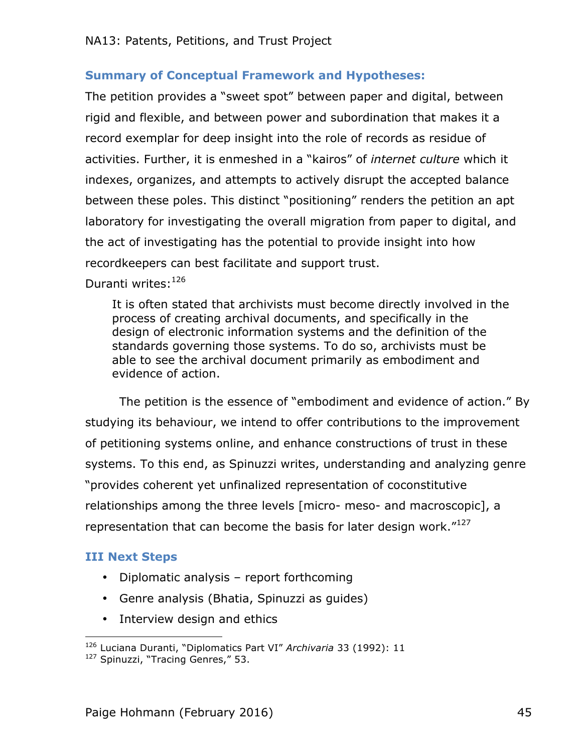## **Summary of Conceptual Framework and Hypotheses:**

The petition provides a "sweet spot" between paper and digital, between rigid and flexible, and between power and subordination that makes it a record exemplar for deep insight into the role of records as residue of activities. Further, it is enmeshed in a "kairos" of *internet culture* which it indexes, organizes, and attempts to actively disrupt the accepted balance between these poles. This distinct "positioning" renders the petition an apt laboratory for investigating the overall migration from paper to digital, and the act of investigating has the potential to provide insight into how recordkeepers can best facilitate and support trust.

Duranti writes: 126

It is often stated that archivists must become directly involved in the process of creating archival documents, and specifically in the design of electronic information systems and the definition of the standards governing those systems. To do so, archivists must be able to see the archival document primarily as embodiment and evidence of action.

The petition is the essence of "embodiment and evidence of action." By studying its behaviour, we intend to offer contributions to the improvement of petitioning systems online, and enhance constructions of trust in these systems. To this end, as Spinuzzi writes, understanding and analyzing genre "provides coherent yet unfinalized representation of coconstitutive relationships among the three levels [micro- meso- and macroscopic], a representation that can become the basis for later design work. $"127$ 

## **III Next Steps**

- Diplomatic analysis report forthcoming
- Genre analysis (Bhatia, Spinuzzi as guides)
- Interview design and ethics

 <sup>126</sup> Luciana Duranti, "Diplomatics Part VI" *Archivaria* 33 (1992): 11

<sup>&</sup>lt;sup>127</sup> Spinuzzi, "Tracing Genres," 53.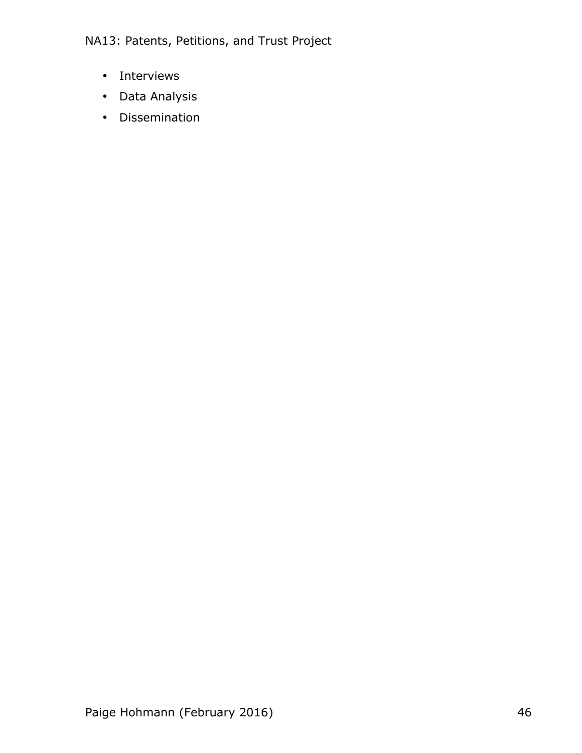- Interviews
- Data Analysis
- Dissemination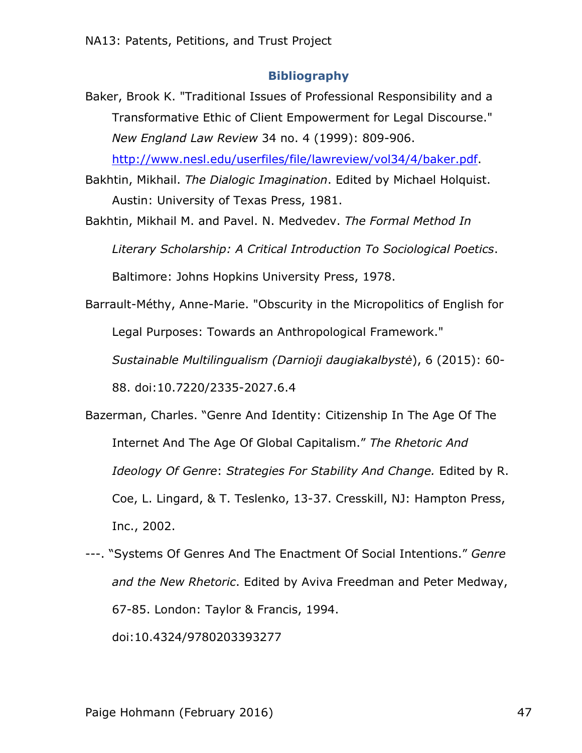#### **Bibliography**

- Baker, Brook K. "Traditional Issues of Professional Responsibility and a Transformative Ethic of Client Empowerment for Legal Discourse." *New England Law Review* 34 no. 4 (1999): 809-906. http://www.nesl.edu/userfiles/file/lawreview/vol34/4/baker.pdf.
- Bakhtin, Mikhail. *The Dialogic Imagination*. Edited by Michael Holquist. Austin: University of Texas Press, 1981.
- Bakhtin, Mikhail M. and Pavel. N. Medvedev. *The Formal Method In Literary Scholarship: A Critical Introduction To Sociological Poetics*.

Baltimore: Johns Hopkins University Press, 1978.

Barrault-Méthy, Anne-Marie. "Obscurity in the Micropolitics of English for Legal Purposes: Towards an Anthropological Framework."

*Sustainable Multilingualism (Darnioji daugiakalbystė*), 6 (2015): 60-

88. doi:10.7220/2335-2027.6.4

- Bazerman, Charles. "Genre And Identity: Citizenship In The Age Of The Internet And The Age Of Global Capitalism." *The Rhetoric And Ideology Of Genre*: *Strategies For Stability And Change.* Edited by R. Coe, L. Lingard, & T. Teslenko, 13-37. Cresskill, NJ: Hampton Press, Inc., 2002.
- ---. "Systems Of Genres And The Enactment Of Social Intentions." *Genre and the New Rhetoric*. Edited by Aviva Freedman and Peter Medway, 67-85. London: Taylor & Francis, 1994. doi:10.4324/9780203393277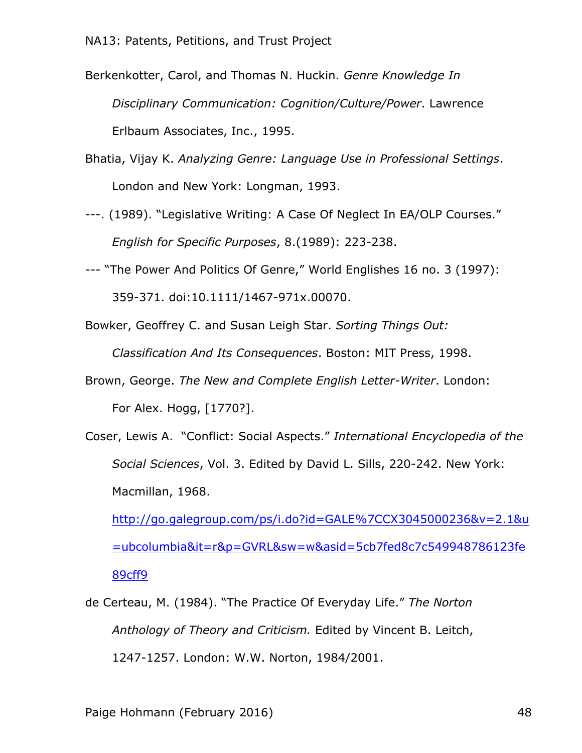- Berkenkotter, Carol, and Thomas N. Huckin. *Genre Knowledge In Disciplinary Communication: Cognition/Culture/Power*. Lawrence Erlbaum Associates, Inc., 1995.
- Bhatia, Vijay K. *Analyzing Genre: Language Use in Professional Settings*. London and New York: Longman, 1993.
- ---. (1989). "Legislative Writing: A Case Of Neglect In EA/OLP Courses." *English for Specific Purposes*, 8.(1989): 223-238.
- --- "The Power And Politics Of Genre," World Englishes 16 no. 3 (1997): 359-371. doi:10.1111/1467-971x.00070.
- Bowker, Geoffrey C. and Susan Leigh Star. *Sorting Things Out:*

*Classification And Its Consequences*. Boston: MIT Press, 1998.

- Brown, George. *The New and Complete English Letter-Writer*. London: For Alex. Hogg, [1770?].
- Coser, Lewis A. "Conflict: Social Aspects." *International Encyclopedia of the Social Sciences*, Vol. 3. Edited by David L. Sills, 220-242. New York: Macmillan, 1968.

http://go.galegroup.com/ps/i.do?id=GALE%7CCX3045000236&v=2.1&u =ubcolumbia&it=r&p=GVRL&sw=w&asid=5cb7fed8c7c549948786123fe 89cff9

de Certeau, M. (1984). "The Practice Of Everyday Life." *The Norton Anthology of Theory and Criticism.* Edited by Vincent B. Leitch, 1247-1257. London: W.W. Norton, 1984/2001.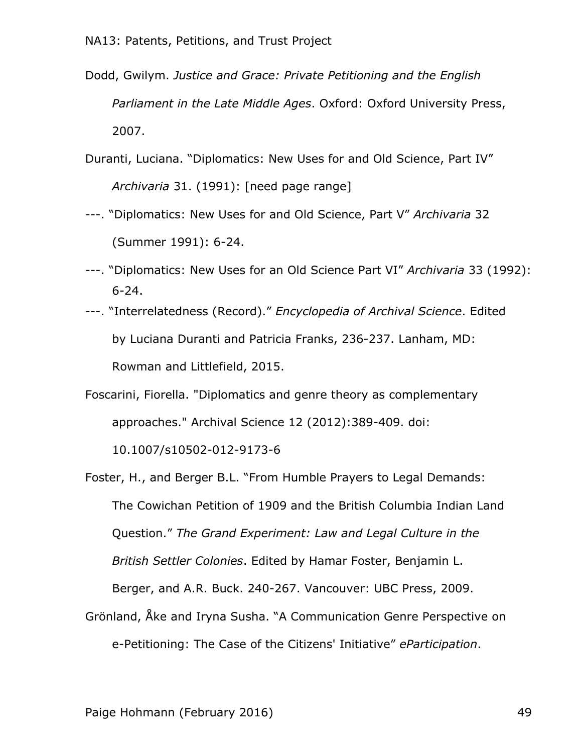- Dodd, Gwilym. *Justice and Grace: Private Petitioning and the English Parliament in the Late Middle Ages*. Oxford: Oxford University Press, 2007.
- Duranti, Luciana. "Diplomatics: New Uses for and Old Science, Part IV" *Archivaria* 31. (1991): [need page range]
- ---. "Diplomatics: New Uses for and Old Science, Part V" *Archivaria* 32 (Summer 1991): 6-24.
- ---. "Diplomatics: New Uses for an Old Science Part VI" *Archivaria* 33 (1992): 6-24.
- ---. "Interrelatedness (Record)." *Encyclopedia of Archival Science*. Edited by Luciana Duranti and Patricia Franks, 236-237. Lanham, MD: Rowman and Littlefield, 2015.
- Foscarini, Fiorella. "Diplomatics and genre theory as complementary approaches." Archival Science 12 (2012):389-409. doi:

10.1007/s10502-012-9173-6

Foster, H., and Berger B.L. "From Humble Prayers to Legal Demands: The Cowichan Petition of 1909 and the British Columbia Indian Land Question." *The Grand Experiment: Law and Legal Culture in the British Settler Colonies*. Edited by Hamar Foster, Benjamin L. Berger, and A.R. Buck. 240-267. Vancouver: UBC Press, 2009. Grönland, Åke and Iryna Susha. "A Communication Genre Perspective on

e-Petitioning: The Case of the Citizens' Initiative" *eParticipation*.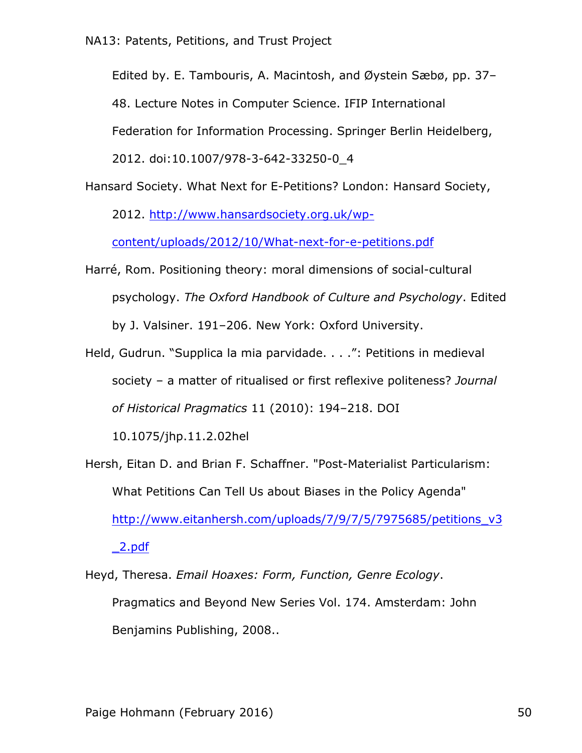Edited by. E. Tambouris, A. Macintosh, and Øystein Sæbø, pp. 37–

48. Lecture Notes in Computer Science. IFIP International

Federation for Information Processing. Springer Berlin Heidelberg,

2012. doi:10.1007/978-3-642-33250-0\_4

Hansard Society. What Next for E-Petitions? London: Hansard Society, 2012. http://www.hansardsociety.org.uk/wp-

content/uploads/2012/10/What-next-for-e-petitions.pdf

- Harré, Rom. Positioning theory: moral dimensions of social-cultural psychology. *The Oxford Handbook of Culture and Psychology*. Edited by J. Valsiner. 191–206. New York: Oxford University.
- Held, Gudrun. "Supplica la mia parvidade. . . .": Petitions in medieval society – a matter of ritualised or first reflexive politeness? *Journal of Historical Pragmatics* 11 (2010): 194–218. DOI

10.1075/jhp.11.2.02hel

Hersh, Eitan D. and Brian F. Schaffner. "Post-Materialist Particularism: What Petitions Can Tell Us about Biases in the Policy Agenda" http://www.eitanhersh.com/uploads/7/9/7/5/7975685/petitions\_v3  $\angle$ 2.pdf

Heyd, Theresa. *Email Hoaxes: Form, Function, Genre Ecology*. Pragmatics and Beyond New Series Vol. 174. Amsterdam: John Benjamins Publishing, 2008..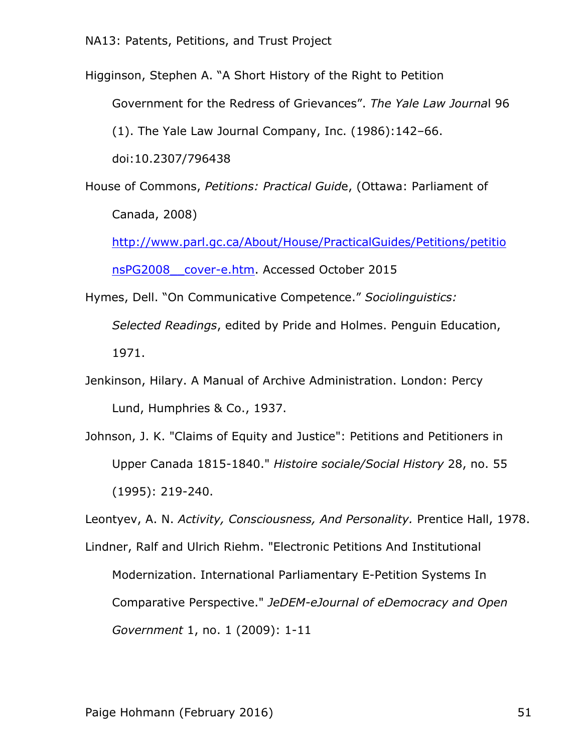Higginson, Stephen A. "A Short History of the Right to Petition

Government for the Redress of Grievances". *The Yale Law Journa*l 96

(1). The Yale Law Journal Company, Inc. (1986):142–66.

doi:10.2307/796438

House of Commons, *Petitions: Practical Guid*e, (Ottawa: Parliament of Canada, 2008)

http://www.parl.gc.ca/About/House/PracticalGuides/Petitions/petitio nsPG2008\_\_cover-e.htm. Accessed October 2015

- Hymes, Dell. "On Communicative Competence." *Sociolinguistics: Selected Readings*, edited by Pride and Holmes. Penguin Education, 1971.
- Jenkinson, Hilary. A Manual of Archive Administration. London: Percy Lund, Humphries & Co., 1937.
- Johnson, J. K. "Claims of Equity and Justice": Petitions and Petitioners in Upper Canada 1815-1840." *Histoire sociale/Social History* 28, no. 55 (1995): 219-240.

Leontyev, A. N. *Activity, Consciousness, And Personality.* Prentice Hall, 1978.

Lindner, Ralf and Ulrich Riehm. "Electronic Petitions And Institutional Modernization. International Parliamentary E-Petition Systems In Comparative Perspective." *JeDEM-eJournal of eDemocracy and Open Government* 1, no. 1 (2009): 1-11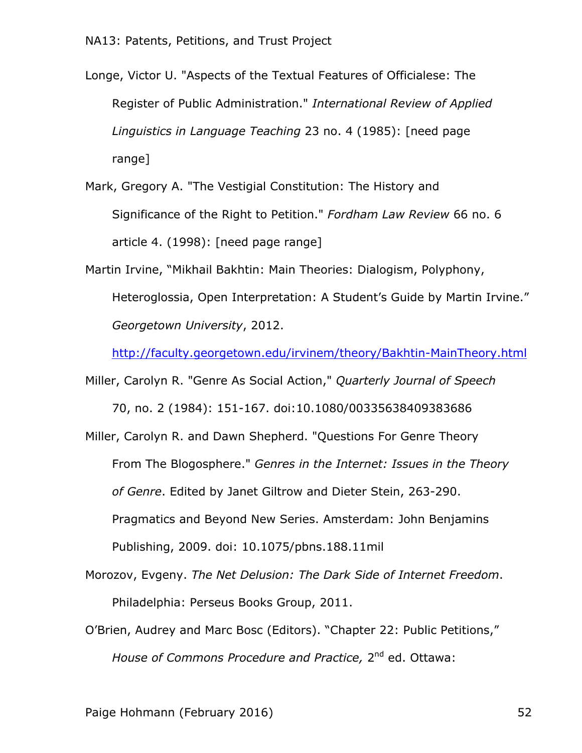Longe, Victor U. "Aspects of the Textual Features of Officialese: The Register of Public Administration." *International Review of Applied Linguistics in Language Teaching* 23 no. 4 (1985): [need page range]

Mark, Gregory A. "The Vestigial Constitution: The History and Significance of the Right to Petition." *Fordham Law Review* 66 no. 6 article 4. (1998): [need page range]

Martin Irvine, "Mikhail Bakhtin: Main Theories: Dialogism, Polyphony, Heteroglossia, Open Interpretation: A Student's Guide by Martin Irvine." *Georgetown University*, 2012.

http://faculty.georgetown.edu/irvinem/theory/Bakhtin-MainTheory.html

Miller, Carolyn R. "Genre As Social Action," *Quarterly Journal of Speech* 70, no. 2 (1984): 151-167. doi:10.1080/00335638409383686

Miller, Carolyn R. and Dawn Shepherd. "Questions For Genre Theory From The Blogosphere." *Genres in the Internet: Issues in the Theory of Genre*. Edited by Janet Giltrow and Dieter Stein, 263-290. Pragmatics and Beyond New Series. Amsterdam: John Benjamins Publishing, 2009. doi: 10.1075/pbns.188.11mil

- Morozov, Evgeny. *The Net Delusion: The Dark Side of Internet Freedom*. Philadelphia: Perseus Books Group, 2011.
- O'Brien, Audrey and Marc Bosc (Editors). "Chapter 22: Public Petitions," *House of Commons Procedure and Practice,* 2<sup>nd</sup> ed. Ottawa:

Paige Hohmann (February 2016) 52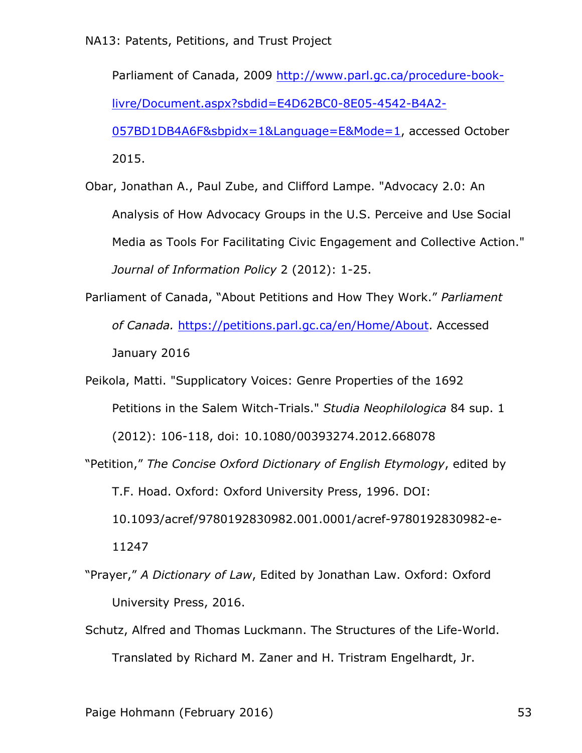Parliament of Canada, 2009 http://www.parl.gc.ca/procedure-booklivre/Document.aspx?sbdid=E4D62BC0-8E05-4542-B4A2- 057BD1DB4A6F&sbpidx=1&Language=E&Mode=1, accessed October

2015.

Obar, Jonathan A., Paul Zube, and Clifford Lampe. "Advocacy 2.0: An Analysis of How Advocacy Groups in the U.S. Perceive and Use Social Media as Tools For Facilitating Civic Engagement and Collective Action." *Journal of Information Policy* 2 (2012): 1-25.

Parliament of Canada, "About Petitions and How They Work." *Parliament of Canada.* https://petitions.parl.gc.ca/en/Home/About. Accessed January 2016

Peikola, Matti. "Supplicatory Voices: Genre Properties of the 1692 Petitions in the Salem Witch-Trials." *Studia Neophilologica* 84 sup. 1

(2012): 106-118, doi: 10.1080/00393274.2012.668078

"Petition," *The Concise Oxford Dictionary of English Etymology*, edited by T.F. Hoad. Oxford: Oxford University Press, 1996. DOI: 10.1093/acref/9780192830982.001.0001/acref-9780192830982-e-11247

"Prayer," *A Dictionary of Law*, Edited by Jonathan Law. Oxford: Oxford University Press, 2016.

Schutz, Alfred and Thomas Luckmann. The Structures of the Life-World. Translated by Richard M. Zaner and H. Tristram Engelhardt, Jr.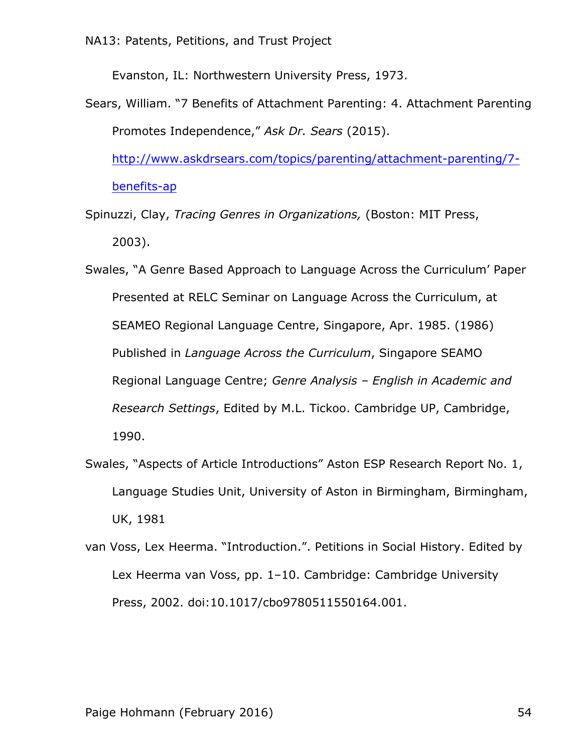Evanston, IL: Northwestern University Press, 1973.

Sears, William. "7 Benefits of Attachment Parenting: 4. Attachment Parenting Promotes Independence," *Ask Dr. Sears* (2015).

http://www.askdrsears.com/topics/parenting/attachment-parenting/7 benefits-ap

Spinuzzi, Clay, *Tracing Genres in Organizations,* (Boston: MIT Press, 2003).

Swales, "A Genre Based Approach to Language Across the Curriculum' Paper Presented at RELC Seminar on Language Across the Curriculum, at SEAMEO Regional Language Centre, Singapore, Apr. 1985. (1986) Published in *Language Across the Curriculum*, Singapore SEAMO Regional Language Centre; *Genre Analysis – English in Academic and Research Settings*, Edited by M.L. Tickoo. Cambridge UP, Cambridge, 1990.

- Swales, "Aspects of Article Introductions" Aston ESP Research Report No. 1, Language Studies Unit, University of Aston in Birmingham, Birmingham, UK, 1981
- van Voss, Lex Heerma. "Introduction.". Petitions in Social History. Edited by Lex Heerma van Voss, pp. 1–10. Cambridge: Cambridge University Press, 2002. doi:10.1017/cbo9780511550164.001.